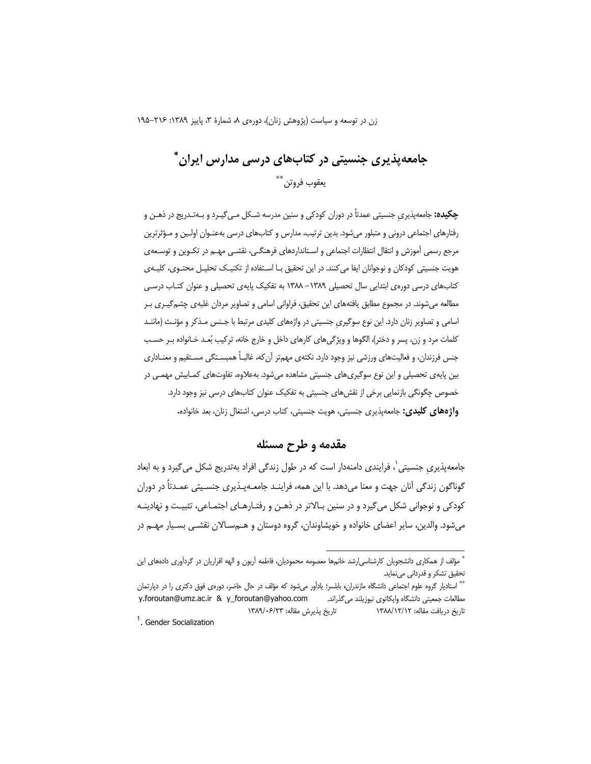زن در توسعه و سیاست (پژوهش زنان)، دورهی ۸، شمارهٔ ۳، پاییز ۱۳۸۹: ۲۱۶–۱۹۵

# جامعه پذیری جنسیتی در کتابهای درسی مدارس ایران \* يعقوب فروتن \*\*

**چکیده:** جامعهپذیری جنسیتی عمدتاً در دوران کودکی و سنین مدرسه شـکل مـی¢یـرد و بـهتـدریج در ذهـن و رفتارهای اجتماعی درونی و متبلور می شود. بدین ترتیب، مدارس و کتابهای درسی بهعنـوان اولـین و مـؤثرترین مرجع رسمي آموزش و انتقال انتظارات اجتماعي و اسـتانداردهاي فرهنگــي، نقشــي مهــم در تكـوين و توســعهي هویت جنسیتی کودکان و نوجوانان ایفا می کنند. در این تحقیق بـا اسـتفاده از تکنیـک تحلیـل محتـوی، کلیـهی کتابهای درسی دورهی ابتدایی سال تحصیلی ۱۳۸۹– ۱۳۸۸ به تفکیک پایهی تحصیلی و عنوان کتـاب درسـی مطالعه میشوند. در مجموع مطابق یافتههای این تحقیق، فراوانی اسامی و تصاویر مردان غلبهی چشم گیـری بـر اسامی و تصاویر زنان دارد. این نوع سوگیری جنسیتی در واژههای کلیدی مرتبط با جـنس مـذکر و مؤنـث (ماننـد کلمات مرد و زن، پسر و دختر)، الگوها و ویژگیهای کارهای داخل و خارج خانه، ترکیب بُعـد خـانواده بـر حسـب جنس فرزندان، و فعالیتهای ورزشی نیز وجود دارد. نکتهی مهمتر آن که، غالبـاً همبسـتگی مسـتقیم و معنـاداری بین پایهی تحصیلی و این نوع سوگیریهای جنسیتی مشاهده میشود. بهعلاوه، تفاوتهای کمـابیش مهمـی در خصوص چگونگی بازنمایی برخی از نقش های جنسیتی به تفکیک عنوان کتابهای درسی نیز وجود دارد. واژههای کلیدی: جامعهپذیری جنسیتی، هویت جنسیتی، کتاب درسی، اشتغال زنان، بعد خانواده.

## مقدمه و طرح مسئله

جامعه پذیری جنسیتی`، فرایندی دامنهدار است که در طول زندگی افراد بهتدریج شکل می گیرد و به ابعاد گوناگون زندگی آنان جهت و معنا می‹هد. با این همه، فراینـد جامعـهیـذیری جنسـیتی عمـدتاً در دوران کودکی و نوجوانی شکل می گیرد و در سنین بـالاتر در ذهـن و رفتـارهـای اجتمـاعی، تثبیـت و نهادینـه میشود. والدین، سایر اعضای خانواده و خویشاوندان، گروه دوستان و هــمسـالان نقشــی بسـیار مهــم در

<sup>ً</sup> مؤلف از همکاری دانشجویان کارشناسی|رشد خانمها معصومه محمودیان، فاطمه آربون و الهه اقراریان در گردآوری دادههای این تحقیق تشکر و قدردانی مینماید.

<sup>&</sup>quot;\* استادیار گروه علوم اجتماعی دانشگاه مازندران، بابلسر؛ یادآور میشود که مؤلف در حال حاضر، دورهی فوق دکتری را در دپارتمان y.foroutan@umz.ac.ir & y\_foroutan@yahoo.com مطالعات جمعيتي دانشگاه وايكاتوي نيوزيلند ميگذراند. تاريخ يذيرش مقاله: ١٣٨٩/٠۶/٢٣ تاريخ دريافت مقاله: ١٣٨٨/١٢/١٢

<sup>&</sup>lt;sup>1</sup>. Gender Socialization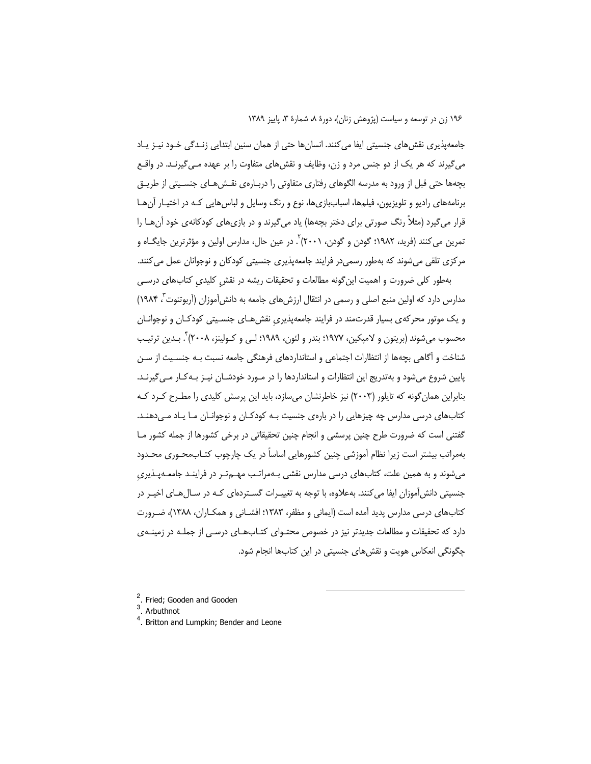جامعه پذیری نقش های جنسیتی ایفا می کنند. انسان ها حتی از همان سنین ابتدایی زنـدگی خـود نیـز پـاد می گیرند که هر یک از دو جنس مرد و زن، وظایف و نقش های متفاوت را بر عهده مـی گیرنـد. در واقــع بچهها حتی قبل از ورود به مدرسه الگوهای رفتاری متفاوتی را درپـارهی نقــش هـای جنسـیتی از طریــق برنامههای رادیو و تلویزیون، فیلمها، اسباببازیها، نوع و رنگ وسایل و لباس هایی کـه در اختیـار آن هـا قرار میگیرد (مثلاً رنگ صورتی برای دختر بچهها) یاد میگیرند و در بازیهای کودکانهی خود آن هـا را تمرين مي كنند (فريد، ١٩٨٢؛ گودن و گودن، ٢٠٠١) `. در عين حال، مدارس اولين و مؤثرترين جايگــاه و مرکزی تلقی مے شوند که بهطور رسمے در فرایند جامعه پذیری جنسیتی کودکان و نوجوانان عمل مے کنند.

بهطور كلي ضرورت و اهميت اين گونه مطالعات و تحقيقات ريشه در نقش كليدي كتابهاي درسي مدارس دارد که اولین منبع اصلی و رسمی در انتقال ارزش های جامعه به دانش آموزان (آربوتنوت <sup>۲</sup> ۱۹۸۴) و یک موتور محرکهی بسیار قدرتمند در فرایند جامعهپذیری نقش هـای جنسـیتی کودکـان و نوجوانـان محسوب مي شوند (بريتون و لاميكين، ١٩٧٧؛ بندر و لئون، ١٩٨٩؛ لـي و كـولينز، ٢٠٠٨) . بـدين ترتيب شناخت و آگاهی بچهها از انتظارات اجتماعی و استانداردهای فرهنگی جامعه نسبت بـه جنسـیت از سـن پایین شروع میشود و بهتدریج این انتظارات و استانداردها را در مـورد خودشـان نیـز بـه کـار مـی5پرنـد. بنابراین همان گونه که تایلور (۲۰۰۳) نیز خاطرنشان می سازد، باید این پرسش کلیدی را مطـرح کـرد کـه کتابهای درسی مدارس چه چیزهایی را در بارهی جنسیت بـه کودکـان و نوجوانـان مـا یـاد مـ ,دهنـد. گفتنی است که ضرورت طرح چنین پرسشی و انجام چنین تحقیقاتی در برخی کشورها از جمله کشور مـا بهمراتب بیشتر است زیرا نظام آموزشی چنین کشورهایی اساساً در یک چارچوب کتـاب،محـوری محـدود میشوند و به همین علت، کتابهای درسی مدارس نقشی بـهمراتـب مهـمتـر در فراینـد جامعـهپـذیری جنسیتی دانشآموزان ایفا می کنند. بهعلاوه، با توجه به تغییـرات گسـتردهای کـه در سـال۱های اخیـر در کتابهای درسی مدارس پدید آمده است (ایمانی و مظفر، ۱۳۸۳؛ افشــانی و همکــاران، ۱۳۸۸)، ضــرورت دارد که تحقیقات و مطالعات جدیدتر نیز در خصوص محتـوای کتـابـهـای درسـی از جملـه در زمینـهی چگونگی انعکاس هویت و نقشهای جنسیتی در این کتابها انجام شود.

<sup>&</sup>lt;sup>2</sup>. Fried: Gooden and Gooden

 $3.$  Arbuthnot

<sup>&</sup>lt;sup>4</sup>. Britton and Lumpkin; Bender and Leone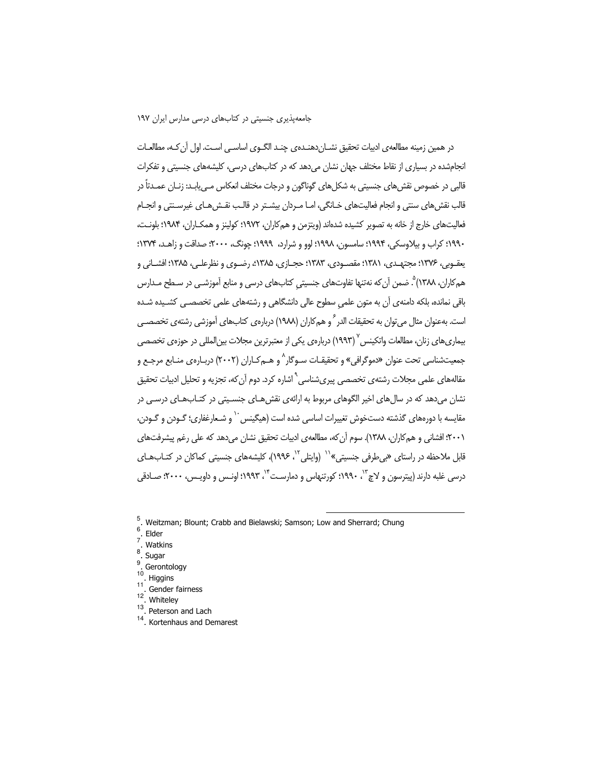#### جامعه پذیری جنسیتی در کتابهای درسی مدارس ایران ۱۹۷

در همین زمینه مطالعهی ادبیات تحقیق نشــان(هنــدهی چنــد الگــوی اساســی اسـت. اول آن کـه، مطالعــات انجامشده در بسیاری از نقاط مختلف جهان نشان میدهد که در کتابهای درسی، کلیشههای جنسیتی و تفکرات قالبی در خصوص نقش های جنسیتی به شکل های گوناگون و درجات مختلف انعکاس مـی.یابـد: زنـان عمـدتاً در قالب نقش های سنتی و انجام فعالیتهای خـانگی، امـا مـردان بیشــتر در قالـب نقــش هـای غیرســنتی و انجــام فعالیتهای خارج از خانه به تصویر کشیده شدهاند (ویتزمن و همکاران، ۱۹۷۲؛ کولینز و همکـاران، ۱۹۸۴؛ بلونـت، ۱۹۹۰؛ کراب و بیلاوسکی، ۱۹۹۴؛ سامسون، ۱۹۹۸؛ لوو و شرارد، ۱۹۹۹؛ چونگ، ۲۰۰۰؛ صداقت و زاهـد، ۱۳۷۴؛ يعقـوبي، ١٣٧۶؛ مجتهـدي، ١٣٨١؛ مقصـودي، ١٣٨٣؛ حجـازي، ١٣٨۵؛، رضـوي و نظرعلـي، ١٣٨۵؛ افشـاني و همکاران، ۱۳۸۸)°. ضمن آن که نهتنها تفاوتهای جنسیتی کتابهای درسی و منابع آموزشـی در سـطح مـدارس باقی نمانده، بلکه دامنهی آن به متون علمی سطوح عالی دانشگاهی و رشتههای علمی تخصصـی کشـیده شـده است. بهعنوان مثال می توان به تحقیقات الدر <sup>۶</sup> و هم کاران (۱۹۸۸) دربارهی کتابهای آموزشی رشتهی تخصص*بی* بیماریهای زنان، مطالعات واتکینس <sup>۷</sup> (۱۹۹۳) درباره یی یکی از معتبرترین مجلات بین|لمللی در حوزه ی تخصصی جمعیتشناسی تحت عنوان «دموگرافی» و تحقیقـات ســوگار^ و هــمکــاران (۲۰۰۲) دربــارهی منــابع مرجـع و مقالههای علمی مجلات رشتهی تخصصی پیریشناسی<sup>۹</sup> اشاره کرد. دوم آن که، تجزیه و تحلیل ادبیات تحقیق نشان میدهد که در سال های اخیر الگوهای مربوط به ارائهی نقش هـای جنسـیتی در کتـابـهـای درسـی در مقایسه با دورههای گذشته دستخوش تغییرات اساسی شده است (هیگینس<sup>۰٬</sup> و شـعارغفاری؛ گـودن و گـودن، ٢٠٠١؛ افشاني و هم كاران، ١٣٨٨). سوم آن كه، مطالعهي ادبيات تحقيق نشان مي دهد كه على رغم پيشرفتهاي قابل ملاحظه در راستای «بی طرفی جنسیتی»<sup>۱۰</sup> (وایتلی<sup>۱۲</sup>، ۱۹۹۶)، کلیشههای جنسیتی کماکان در کتـابـهـای درسي غلبه دارند (پيترسون و لاچ"، ١٩٩٠؛ کورتنهاس و دمارسـت<sup>٢،</sup> ١٩٩٣؛ اونـس و داويـس، ٢٠٠٠؛ صـادقي

9 Gerontology

- $11$ Gender fairness
- $12$ Whiteley
- $13$ Peterson and Lach
- <sup>14</sup>. Kortenhaus and Demarest

<sup>&</sup>lt;sup>5</sup>. Weitzman; Blount; Crabb and Bielawski; Samson; Low and Sherrard; Chung

 $6$ . Elder

<sup>.</sup> Watkins

<sup>8</sup> . Sugar

 $10$ Higgins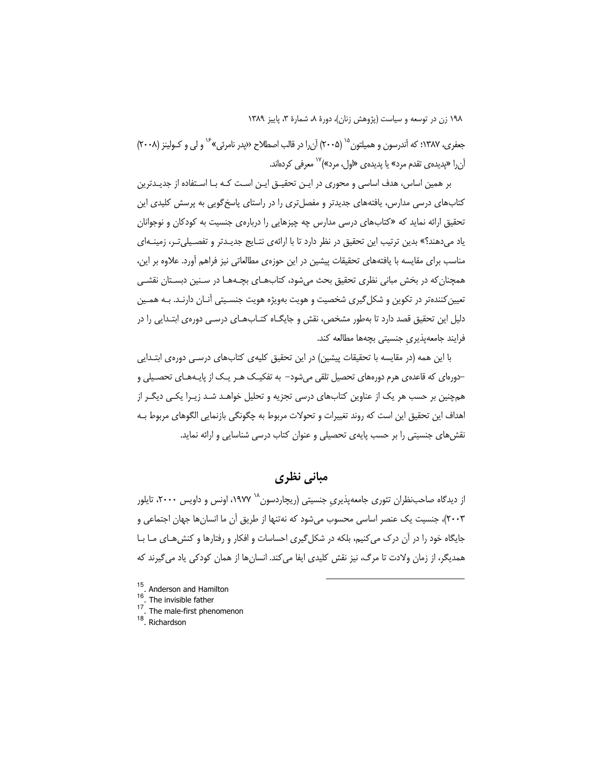جعفري، ١٣٨٧؛ كه آندرسون و هميلتون ١<sup>٥</sup> (٢٠٠۵) آن را در قالب اصطلاح «يدر نامرئي» <sup>١۶</sup> و لي و كـولينز (٢٠٠٨) آنرا «پدیدهی تقدم مرد» یا پدیدهی «اول، مرد»)<sup>۱۷</sup> معرفی کردهاند.

بر همین اساس، هدف اساسی و محوری در ایـن تحقیـق ایـن اسـت کـه بـا اسـتفاده از جدیـدترین کتابهای درسی مدارس، یافتههای جدیدتر و مفصل تری را در راستای پاسخ گویی به پرسش کلیدی این تحقیق ارائه نماید که «کتابهای درسی مدارس چه چیزهایی را دربارهی جنسیت به کودکان و نوجوانان یاد میدهند؟» بدین ترتیب این تحقیق در نظر دارد تا با ارائهی نتـایج جدیـدتر و تفصـیلیتـر، زمینـهای مناسب برای مقایسه با یافتههای تحقیقات پیشین در این حوزهی مطالعاتی نیز فراهم آورد. علاوه بر این، همچنان که در بخش مبانی نظری تحقیق بحث میشود، کتابهـای بچـههـا در سـنین دبسـتان نقشـی تعیین کنندهتر در تکوین و شکل گیری شخصیت و هویت بهویژه هویت جنسـیتی آنــان دارنــد. بــه همـین دلیل این تحقیق قصد دارد تا بهطور مشخص، نقش و جایگـاه کتـابـهـای درسـی دورهی ابتـدایی را در فرايند جامعهپذيري جنسيتي بچهها مطالعه كند.

با این همه (در مقایسه با تحقیقات پیشین) در این تحقیق کلیه ی کتابهای درسـی دوره ی ابتــدایی –دورهای که قاعدهی هرم دورههای تحصیل تلقی می شود– به تفکیـک هـر یـک از پایـههـای تحصـیلی و همچنین بر حسب هر یک از عناوین کتابهای درسی تجزیه و تحلیل خواهـد شـد زیـرا یکـی دیگـر از اهداف این تحقیق این است که روند تغییرات و تحولات مربوط به چگونگی بازنمایی الگوهای مربوط بـه نقش های جنسیتی را بر حسب پایهی تحصیلی و عنوان کتاب درسی شناسایی و ارائه نماید.

## مبانی نظری

از دیدگاه صاحب:نظران تئوری جامعهپذیری جنسیتی (ریچاردسون<sup>۱۸</sup> ۱۹۷۷، اونس و داویس ۲۰۰۰، تایلور ٢٠٠٣)، جنسیت یک عنصر اساسی محسوب میشود که نهتنها از طریق آن ما انسانها جهان اجتماعی و جایگاه خود را در آن درک می کنیم، بلکه در شکل گیری احساسات و افکار و رفتارها و کنش هـای مـا بـا همدیگر، از زمان ولادت تا مرگ، نیز نقش کلیدی ایفا می کند. انسان ها از همان کودکی یاد می گیرند که

- <sup>15</sup>. Anderson and Hamilton
- 16 The invisible father
- <sup>17</sup>. The male-first phenomenon
- $18$ . Richardson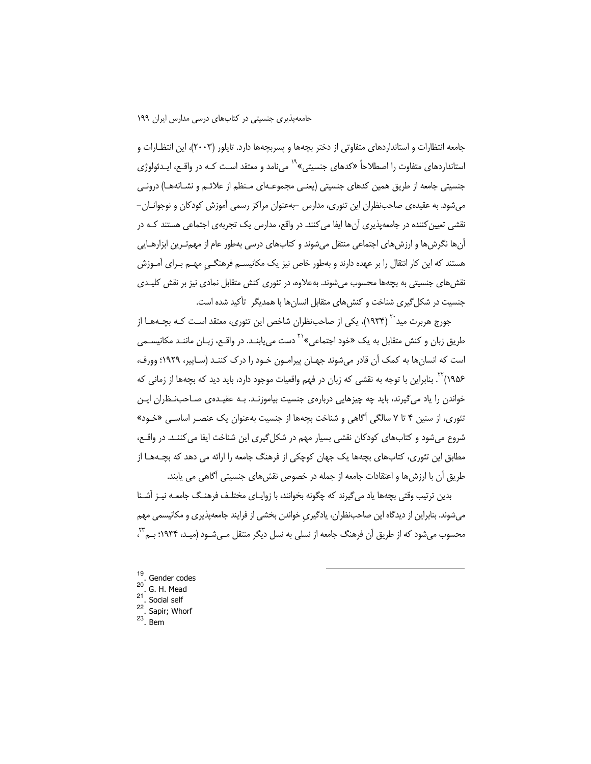جامعه انتظارات و استانداردهای متفاوتی از دختر بچهها و پسربچهها دارد. تایلور (۲۰۰۳)، این انتظـارات و استانداردهای متفاوت را اصطلاحاً «کدهای جنسیتی»<sup>۹۹</sup> میiامد و معتقد اسـت کـه در واقـع، ایـدئولوژی جنسیتی جامعه از طریق همین کدهای جنسیتی (یعنبی مجموعـهای مـنظم از علائـم و نشـانههـا) درونـی می شود. به عقیده یصاحب:نظران این تئوری، مدارس –بهعنوان مراکز رسمی آموزش کودکان و نوجوانــان– نقشی تعیین کننده در جامعهپذیری آنها ایفا می کنند. در واقع، مدارس یک تجربهی اجتماعی هستند کـه در آنها نگرشها و ارزشهای اجتماعی منتقل میشوند و کتابهای درسی بهطور عام از مهمتـرین ابزارهـایی هستند که این کار انتقال را بر عهده دارند و بهطور خاص نیز یک مکانیســم فرهنگــی مهــم بــرای أمــوزش نقشهای جنسیتی به بچهها محسوب میشوند. بهعلاوه، در تئوری کنش متقابل نمادی نیز بر نقش کلیـدی جنسیت در شکل گیری شناخت و کنشهای متقابل انسانها با همدیگر تأکید شده است.

جورج هربرت مید<sup>۲۰</sup> (۱۹۳۴)، یکی از صاحب:نظران شاخص این تئوری، معتقد اسـت کـه بچـههـا از طریق زبان و کنش متقابل به یک «خود اجتماعی»<sup>۲۱</sup> دست می یابنـد. در واقـع، زبـان ماننـد مکانیسـمی است که انسانها به کمک آن قادر میشوند جهـان پیرامـون خـود را درک کننـد (سـاپیر، ۱۹۲۹؛ وورف، ۱۹۵۶) ۲۰. بنابراین با توجه به نقشی که زبان در فهم واقعیات موجود دارد، باید دید که بچهها از زمانی که خواندن را یاد می گیرند، باید چه چیزهایی درباره ی جنسیت بیاموزنـد. بـه عقیـده ی صـاحب:نـظران ایـن تئوری، از سنین ۴ تا ۷ سالگی آگاهی و شناخت بچهها از جنسیت بهعنوان یک عنصـر اساسـی «خـود» شروع میشود و کتابهای کودکان نقشی بسیار مهم در شکل گیری این شناخت ایفا می کننـد. در واقـع، مطابق این تئوری، کتابهای بچهها یک جهان کوچکی از فرهنگ جامعه را ارائه می دهد که بچـههـا از طریق أن با ارزشها و اعتقادات جامعه از جمله در خصوص نقشهای جنسیتی أگاهی می یابند.

بدین ترتیب وقتی بچهها یاد می گیرند که چگونه بخوانند، با زوایـای مختلـف فرهنـگ جامعـه نیـز اَشـنا میشوند. بنابراین از دیدگاه این صاحبنظران، یادگیری خواندن بخشی از فرایند جامعهپذیری و مکانیسمی مهم محسوب می شود که از طریق آن فرهنگ جامعه از نسلی به نسل دیگر منتقل مـی شــود (میـد، ۱۹۳۴؛ بــم''،

- 19 Gender codes 20 G. H. Mead  $21$ . Social self
- <sup>22</sup>. Sapir; Whorf
- $23$ . Bem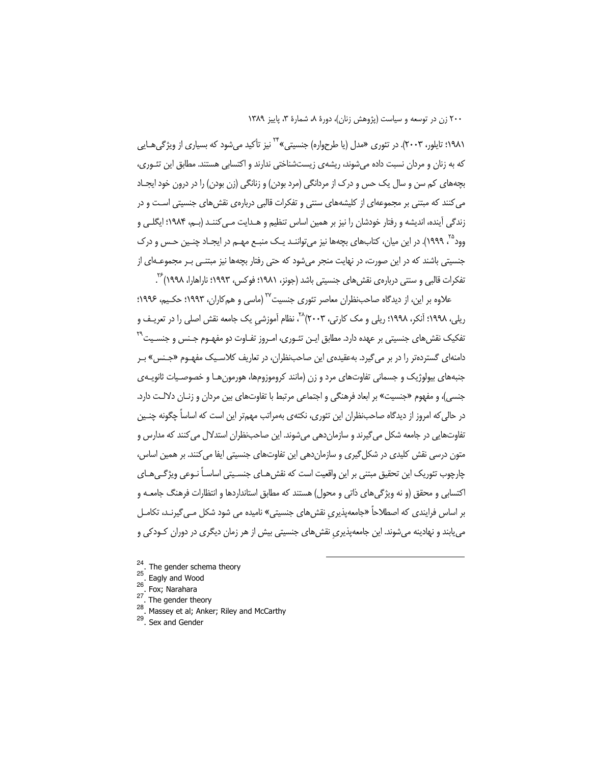۱۹۸۱؛ تایلور، ۲۰۰۳). در تئوری «مدل (یا طرحواره) جنسیتی» <sup>۲۴</sup> نیز تأکید می شود که بسیاری از ویژگی هـایی که به زنان و مردان نسبت داده می شوند، ریشه ی زیستشناختی ندارند و اکتسابی هستند. مطابق این تئـوری، بحههای کم سن و سال یک حس و درک از مردانگی (مرد بودن) و زنانگی (زن بودن) را در درون خود ایجـاد می کنند که مبتنی بر مجموعهای از کلیشههای سنتی و تفکرات قالبی دربارهی نقش های جنسیتی اسـت و در زندگی آینده، اندیشه و رفتار خودشان را نیز بر همین اساس تنظیم و هـدایت مـی کننـد (بـم، ۱۹۸۴؛ ایگلـی و وود<sup>۲۵</sup> ٬۱۹۹۹). در این میان، کتابهای بچهها نیز می¤واننـد یـک منبـع مهـم در ایجـاد چنـین حـس و درک جنسیتی باشند که در این صورت، در نهایت منجر می شود که حتی رفتار بچهها نیز مبتنــی بــر مجموعــهای از تفکرات قالبی و سنتی دربارهی نقش های جنسیتی باشد (جونز، ۱۹۸۱؛ فوکس، ۱۹۹۳؛ ناراهارا، ۱۹۹۸) ً<sup>77</sup>.

علاوه بر این، از دیدگاه صاحب:نظران معاصر تئوری جنسیت<sup>۲۷</sup> (ماسی و همکاران، ۱۹۹۳؛ حکـیم، ۱۹۹۶؛ ریلی، ۱۹۹۸؛ آنکر، ۱۹۹۸؛ ریلی و مک کارتی، ۲۰۰۳)<sup>۲۸</sup>، نظام آموزشی یک جامعه نقش اصلی را در تعریـف و تفکیک نقش های جنسیتی بر عهده دارد. مطابق ایـن تئـوری، امـروز تفـاوت دو مفهـوم جـنس و جنسـیت<sup>۲۹</sup> دامنهای گستردهتر را در بر می گیرد. بهعقیدهی این صاحب:نظران، در تعاریف کلاسـیک مفهـوم «جـنس» بـر جنبههای بیولوژیک و جسمانی تفاوتهای مرد و زن (مانند کروموزومها، هورمونهـا و خصوصـیات ثانویــهی جنسی)، و مفهوم «جنسیت» بر ابعاد فرهنگی و اجتماعی مرتبط با تفاوتهای بین مردان و زنـان دلالـت دارد. در حالی که امروز از دیدگاه صاحبنظران این تئوری، نکتهی بهمراتب مهمتر این است که اساساً چگونه چنـین تفاوتهایی در جامعه شکل میگیرند و سازمان دهی میشوند. این صاحبنظران استدلال می کنند که مدارس و متون درسی نقش کلیدی در شکل گیری و سازمانِ دهی این تفاوتهای جنسیتی ایفا می کنند. بر همین اساس، چارچوب تئوریک این تحقیق مبتنی بر این واقعیت است که نقش هـای جنسـیتی اساسـاً نــوعی ویژگــیهـای اکتسابی و محقق (و نه ویژگیهای ذاتی و محول) هستند که مطابق استانداردها و انتظارات فرهنگ جامعـه و بر اساس فرایندی که اصطلاحاً «جامعهپذیری نقشهای جنسیتی» نامیده می شود شکل مـی¢یرنـد، تکامـل می یابند و نهادینه می شوند. این جامعه پذیری نقش های جنسیتی بیش از هر زمان دیگری در دوران کـودکی و

- <sup>24</sup>. The gender schema theory
- 25 Eagly and Wood
- $26\,$ . Fox; Narahara
- $27$ . The gender theory
- $28$ Massey et al; Anker; Riley and McCarthy
- <sup>29</sup>. Sex and Gender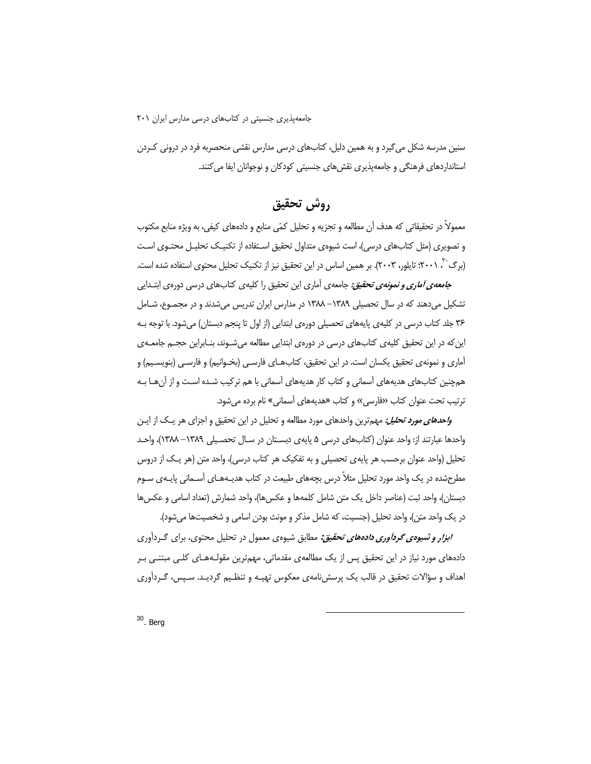سنین مدرسه شکل می گیرد و به همین دلیل، کتابهای درسی مدارس نقشی منحصربه فرد در درونی کـردن استانداردهای فرهنگی و جامعهپذیری نقشهای جنسیتی کودکان و نوجوانان ایفا می کنند.

## روش تحقيق

معمولاً در تحقیقاتی که هدف آن مطالعه و تجزیه و تحلیل کمّی منابع و دادههای کیفی، به ویژه منابع مکتوب و تصویری (مثل کتابهای درسی)، است شیوهی متداول تحقیق اسـتفاده از تکنیـک تحلیـل محتـوی اسـت (برگ<sup>۲۰</sup>، ۲۰۰۱): تایلور، ۲۰۰۳). بر همین اساس در این تحقیق نیز از تکنیک تحلیل محتوی استفاده شده است.

ج*امعهی آماری و نمونهی تحقیق:* جامعهی آماری این تحقیق را کلیهی کتابهای درسی دورهی ابتـدایی تشکیل می دهند که در سال تحصیلی ۱۳۸۹– ۱۳۸۸ در مدارس ایران تدریس می شدند و در مجمـوع، شـامل ۳۶ جلد کتاب درسی در کلیهی پایههای تحصیلی دورهی ابتدایی (از اول تا پنجم دبستان) میشود. با توجه بـه این که در این تحقیق کلیه ی کتابهای درسی در دورهی ابتدایی مطالعه می شـوند، بنـابراین حجــم جامعــه ی آماري و نمونهي تحقيق يكسان است. در اين تحقيق، كتابهـاي فارسـي (بخـوانيم) و فارسـي (بنويسـيم) و همچنین کتابهای هدیههای آسمانی و کتاب کار هدیههای آسمانی با هم ترکیب شـده اسـت و از آنهـا بـه ترتیب تحت عنوان کتاب «فارسی» و کتاب «هدیههای آسمانی» نام برده می شود.

و*احدهای مورد تحلیل:* مهمترین واحدهای مورد مطالعه و تحلیل در این تحقیق و اجزای هر یـک از ایـن واحدها عبارتند از: واحد عنوان (كتابهاي درسي ۵ پايهي دبسـتان در سـال تحصـيلي ۱۳۸۹– ۱۳۸۸)، واحـد تحلیل (واحد عنوان برحسب هر پایه ی تحصیلی و به تفکیک هر کتاب درسی)، واحد متن (هر یـک از دروس مطرحشده در یک واحد مورد تحلیل مثلاً درس بچههای طبیعت در کتاب هدیـههـای آســمانی پایـهی سـوم دبستان)، واحد ثبت (عناصر داخل یک متن شامل کلمهها و عکسها)، واحد شمارش (تعداد اسامی و عکسها در یک واحد متن)، واحد تحلیل (جنسیت، که شامل مذکر و مونث بودن اسامی و شخصیتها میشود).

ا*بزار و شیوهی گردآوری دادههای تحقیق:* مطابق شیوهی معمول در تحلیل محتوی، برای گردآوری دادههای مورد نیاز در این تحقیق پس از یک مطالعهی مقدماتی، مهمترین مقولـههـای کلـی مبتنـی بـر اهداف و سؤالات تحقیق در قالب یک پرسش نامهی معکوس تهیـه و تنظـیم گردیـد. سـیس، گـردآوری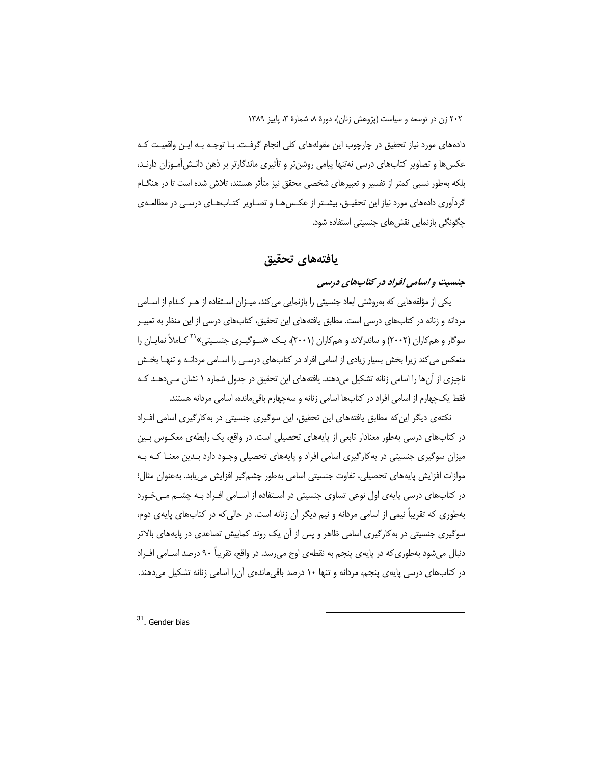دادههای مورد نیاز تحقیق در چارچوب این مقولههای کلی انجام گرفت. بـا توجـه بـه ایـن واقعیـت کـه عکسها و تصاویر کتابهای درسی نهتنها پیامی روشن تر و تأثیری ماندگارتر بر ذهن دانـش|مـوزان دارنـد، بلکه بهطور نسبی کمتر از تفسیر و تعبیرهای شخصی محقق نیز متأثر هستند، تلاش شده است تا در هنگLم گردآوری دادههای مورد نیاز این تحقیــق، بیشــتر از عکــس۵مـا و تصــاویر کتــابـهـای درسـی در مطالعــهی چگونگی بازنمایی نقشهای جنسیتی استفاده شود.

## يافتههاي تحقيق

## جنسیت و اسامی افراد در کتابهای درسی

یکی از مؤلفههایی که بهروشنی ابعاد جنسیتی را بازنمایی می کند، میـزان اسـتفاده از هـر کـدام از اسـامی مردانه و زنانه در کتابهای درسی است. مطابق یافتههای این تحقیق، کتابهای درسی از این منظر به تعییـر سوگار و همکاران (۲۰۰۲) و ساندرلاند و همکاران (۲۰۰۱)، یـک «سـوگیـری جنسـیتی»<sup>۳۱</sup> کـاملاً نمایـان را منعکس می کند زیرا بخش بسیار زیادی از اسامی افراد در کتابهای درسـی را اسـامی مردانــه و تنهـا بخـش ناچیزی از آنها را اسامی زنانه تشکیل میدهند. یافتههای این تحقیق در جدول شماره ۱ نشان مـی دهــد کـه فقط یک چهارم از اسامی افراد در کتابها اسامی زنانه و سهچهارم باقی مانده، اسامی مردانه هستند.

نکتهی دیگر این که مطابق یافتههای این تحقیق، این سوگیری جنسیتی در به کارگیری اسامی اف راد در کتابهای درسی بهطور معنادار تابعی از پایههای تحصیلی است. در واقع، یک رابطهی معکـوس بـین میزان سوگیری جنسیتی در به کارگیری اسامی افراد و پایههای تحصیلی وجـود دارد بـدین معنـا کـه بـه موازات افزایش پایههای تحصیلی، تفاوت جنسیتی اسامی بهطور چشم گیر افزایش می یابد. بهعنوان مثال؛ در کتابهای درسی پایهی اول نوعی تساوی جنسیتی در اسـتفاده از اسـامی افـراد بـه چشـم مـیخـورد بهطوری که تقریباً نیمی از اسامی مردانه و نیم دیگر آن زنانه است. در حالی که در کتابهای پایهی دوم، سوگیری جنسیتی در به کارگیری اسامی ظاهر و پس از آن یک روند کمابیش تصاعدی در پایههای بالاتر دنبال میشود بهطوری که در پایهی پنجم به نقطهی اوج میرسد. در واقع، تقریباً ۹۰ درصد اسـامی افـراد در کتابهای درسی پایهی پنجم، مردانه و تنها ۱۰ درصد باقی ماندهی آن را اسامی زنانه تشکیل می دهند.

<sup>31</sup>. Gender bias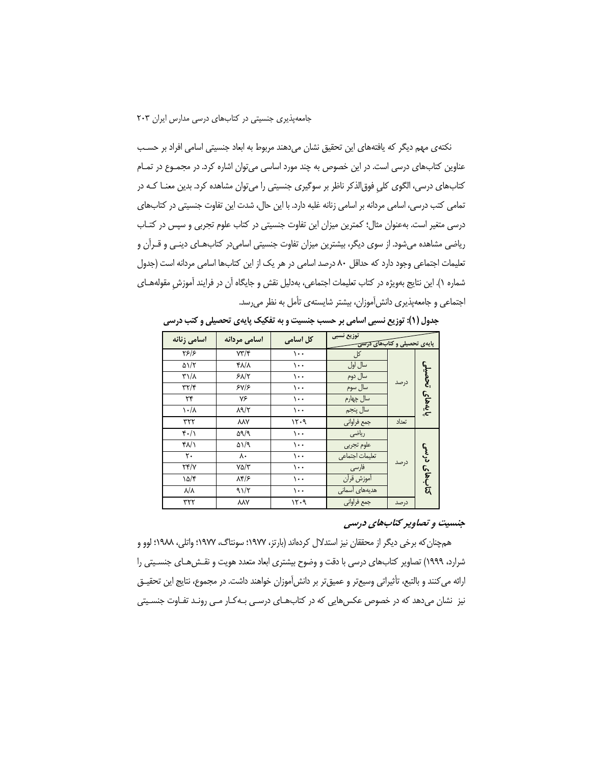نکتهی مهم دیگر که یافتههای این تحقیق نشان میدهند مربوط به ابعاد جنسیتی اسامی افراد بر حسب عناوین کتابهای درسی است. در این خصوص به چند مورد اساسی میتوان اشاره کرد. در مجمـوع در تمـام کتابهای درسی، الگوی کلی فوق|لذکر ناظر بر سوگیری جنسیتی را میتوان مشاهده کرد. بدین معنــا کـه در تمامی کتب درسی، اسامی مردانه بر اسامی زنانه غلبه دارد. با این حال، شدت این تفاوت جنسیتی در کتابهای درسی متغیر است. بهعنوان مثال؛ کمترین میزان این تفاوت جنسیتی در کتاب علوم تجربی و سپس در کتـاب ریاضی مشاهده می شود. از سوی دیگر، بیشترین میزان تفاوت جنسیتی اسامی در کتابهای دینی و قرآن و تعلیمات اجتماعی وجود دارد که حداقل ۸۰ درصد اسامی در هر یک از این کتابها اسامی مردانه است (جدول شماره ۱). این نتایج بهویژه در کتاب تعلیمات اجتماعی، بهدلیل نقش و جایگاه آن در فرایند آموزش مقولههـای اجتماعی و جامعهپذیری دانش آموزان، بیشتر شایستهی تأمل به نظر می رسد.

| اسامى زنانه               | اسامی مردانه         | کل اسامی | توزيع نسبي<br>پایهی تحصیلی و کتاب <del>های درسی</del> |       |                   |  |
|---------------------------|----------------------|----------|-------------------------------------------------------|-------|-------------------|--|
| Y5/5                      | $Y\Upsilon/\Upsilon$ | $\cdots$ | کل                                                    |       |                   |  |
| $\Delta$ \/٢              | <b>FA/A</b>          | $\cdots$ | سال اول                                               |       | تحصيلى<br>بايەهای |  |
| $\Gamma \backslash A$     | 51/7                 | $\cdots$ | سال دوم                                               |       |                   |  |
| $\tau\tau/\tau$           | 5Y/5                 | ۱۰۰      | سال سوم                                               | درصد  |                   |  |
| $\mathbf{r}$              | ٧۶                   | ۱۰۰      | سال چهارم                                             |       |                   |  |
| $\lambda \cdot / \lambda$ | $\lambda$ 9/۲        | ۱۰۰      | سال پنجم                                              |       |                   |  |
| ۳۲۲                       | <b>AAY</b>           | ۱۲۰۹     | جمع فراوانى                                           | تعداد |                   |  |
| $f \cdot / \Lambda$       | 59/9                 | $\cdots$ | رياضى                                                 |       |                   |  |
| $f\Lambda/\Lambda$        | $\Delta$ 1/9         | ۱۰۰      | علوم تجربي                                            |       |                   |  |
| ٢٠                        | ٨٠                   | ۱۰۰      | تعليمات اجتماعي                                       |       | دړنه              |  |
| Yf/Y                      | $Y\Delta/Y$          | ۱۰۰      | فارسى                                                 | درصد  |                   |  |
| $10/\zeta$                | $\lambda f/\epsilon$ | $\cdots$ | أموزش قرأن                                            |       | كتابهاى           |  |
| $\lambda/\lambda$         | 91/7                 | ۱۰۰      | هديههاى آسمانى                                        |       |                   |  |
| ۳۲۲                       | ٨٨٧                  | ۱۲۰۹     | جمع فراوانى                                           | درصد  |                   |  |

جدول (۱): توزیع نسبی اسامی بر حسب جنسیت و به تفکیک پایهی تحصیلی و کتب درسی

#### جنسیت و تصاویر کتابهای درسی

همچنان که برخی دیگر از محققان نیز استدلال کردهاند (بارتز، ۱۹۷۷؛ سونتاگ، ۱۹۷۷؛ واتلی، ۱۹۸۸؛ لوو و شرارد، ۱۹۹۹) تصاویر کتابهای درسی با دقت و وضوح بیشتری ابعاد متعدد هویت و نقـش۵هـای جنسـیتی را ارائه می کنند و بالتبع، تأثیراتی وسیعتر و عمیقتر بر دانش[موزان خواهند داشت. در مجموع، نتایج این تحقیـق نیز نشان میدهد که در خصوص عکسهایی که در کتابهای درسی بـهکـار مـی رونـد تفـاوت جنسـیتی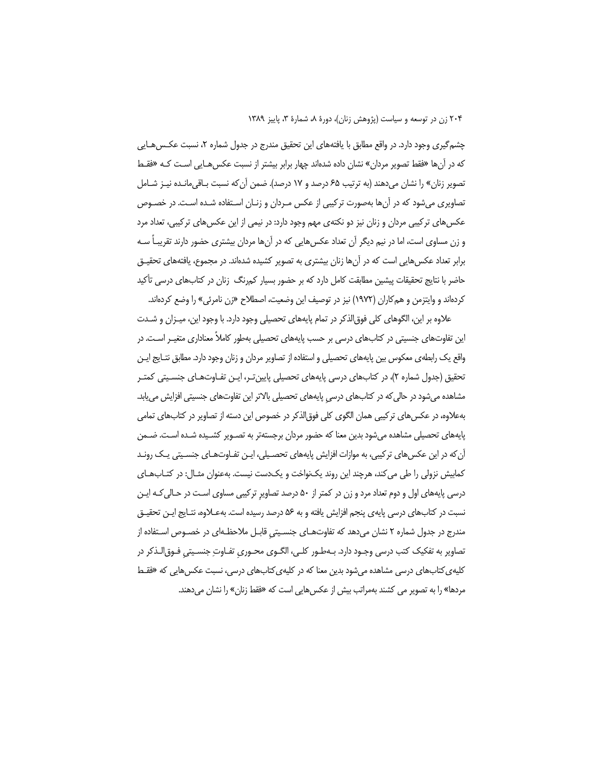چشم گیری وجود دارد. در واقع مطابق با یافتههای این تحقیق مندرج در جدول شماره ۲، نسبت عکـس۵مـایی که در آنها «فقط تصویر مردان» نشان داده شدهاند چهار برابر بیشتر از نسبت عکس هـایی اسـت کـه «فقـط تصوير زنان» را نشان مي دهند (به ترتيب ۶۵ درصد و ۱۷ درصد). ضمن آن كه نسبت بـاقي مانـده نيـز شـامل تصاویری میشود که در آنها بهصورت ترکیبی از عکس مـردان و زنـان اسـتفاده شـده اسـت. در خصـوص عکسهای ترکیبی مردان و زنان نیز دو نکتهی مهم وجود دارد: در نیمی از این عکسهای ترکیبی، تعداد مرد و زن مساوی است، اما در نیم دیگر آن تعداد عکس هایی که در آنها مردان بیشتری حضور دارند تقریباً سـه برابر تعداد عکسهایی است که در آنها زنان بیشتری به تصویر کشیده شدهاند. در مجموع، یافتههای تحقیـق حاضر با نتایج تحقیقات پیشین مطابقت کامل دارد که بر حضور بسیار کمرنگ زنان در کتابهای درسی تأکید کردهاند و وایتزمن و همکاران (۱۹۷۲) نیز در توصیف این وضعیت، اصطلاح «زن نامرئی» را وضع کردهاند.

علاوه بر این، الگوهای کلی فوق|لذکر در تمام پایههای تحصیلی وجود دارد. با وجود این، میـزان و شــدت این تفاوتهای جنسیتی در کتابهای درسی بر حسب پایههای تحصیلی بهطور کاملاً معناداری متغیـر اسـت. در واقع یک رابطهی معکوس بین پایههای تحصیلی و استفاده از تصاویر مردان و زنان وجود دارد. مطابق نتـایج ایـن تحقیق (جدول شماره ۲)، در کتابهای درسی پایههای تحصیلی پایین تر، ایـن تفـاوتهـای جنسـیتی کمتـر مشاهده میشود در حالی که در کتابهای درسی پایههای تحصیلی بالاتر این تفاوتهای جنسیتی افزایش می یابد. بهعلاوه، در عکس های ترکیبی همان الگوی کلی فوق|لذکر در خصوص این دسته از تصاویر در کتابهای تمامی پایههای تحصیلی مشاهده میشود بدین معنا که حضور مردان برجستهتر به تصـویر کشـیده شـده اسـت. ضـمن آن که در این عکس های ترکیبی، به موازات افزایش پایههای تحصیلی، ایـن تفـاوت،هـای جنسـیتی یـک رونـد کمابیش نزولی را طی میکند، هرچند این روند یکنواخت و یکدست نیست. بهعنوان مثـال: در کتـابـهـای درسی پایههای اول و دوم تعداد مرد و زن در کمتر از ۵۰ درصد تصاویر ترکیبی مساوی است در حـالی کـه ایـن نسبت در کتابهای درسی پایهی پنجم افزایش یافته و به ۵۶ درصد رسیده است. بهعـلاوه، نتـایج ایـن تحقیـق مندرج در جدول شماره ۲ نشان میدهد که تفاوتهـای جنسـیتی قابـل ملاحظـهای در خصـوص اسـتفاده از تصاویر به تفکیک کتب درسی وجـود دارد. بـهطـور کلـی، الگـوی محـوری تفـاوتِ جنسـیتی فـوق|لـذکر در کلیه ی کتابهای درسی مشاهده میشود بدین معنا که در کلیهی کتابهای درسی، نسبت عکسهایی که «فقـط مردها» را به تصویر می کشند بهمراتب بیش از عکس هایی است که «فقط زنان» را نشان می دهند.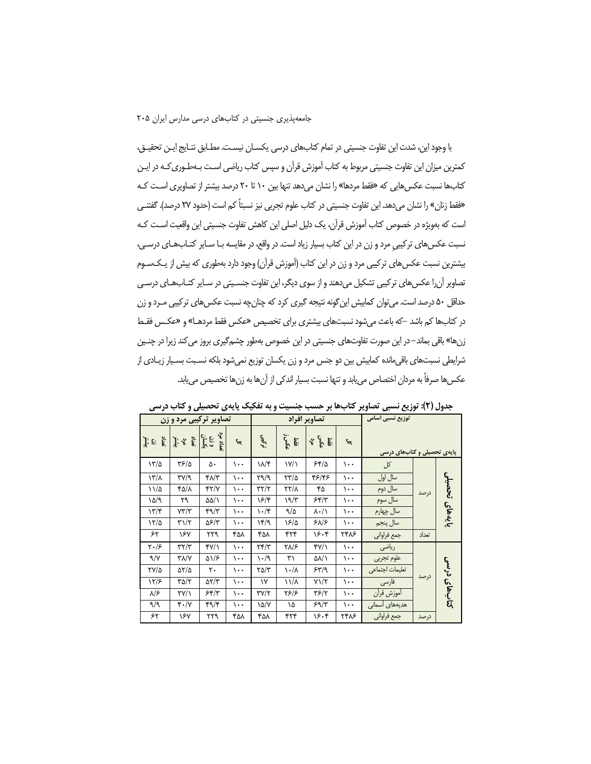با وجود این، شدت این تفاوت جنسیتی در تمام کتابهای درسی یکسـان نیسـت. مطـابق نتـایج ایـن تحقیـق، کمترین میزان این تفاوت جنسیتی مربوط به کتاب آموزش قرآن و سپس کتاب ریاضی اسـت بـهطـوری کـه در ایـن کتابها نسبت عکسهایی که «فقط مردها» را نشان میدهد تنها بین ۱۰ تا ۲۰ درصد بیشتر از تصاویری است کـه «فقط زنان» را نشان می دهد. این تفاوت جنسیتی در کتاب علوم تجربی نیز نسبتاً کم است (حدود ۲۷ درصد). گفتنـی است که بهویژه در خصوص کتاب آموزش قرآن، یک دلیل اصلی این کاهش تفاوت جنسیتی این واقعیت اسـت کـه نسبت عکسهای ترکیبی مرد و زن در این کتاب بسیار زیاد است. در واقع، در مقایسه بـا سـایر کتـابهـای درسـ ، بیشترین نسبت عکس های ترکیبی مرد و زن در این کتاب (آموزش قرآن) وجود دارد بهطوری که بیش از پـکـسـوم تصاویر آن را عکس های تر کیبی تشکیل می دهند و از سوی دیگر، این تفاوت جنسـیتی در سـایر کتـاب۱عـای درسـی حداقل ۵۰ درصد است. می توان کمابیش این گونه نتیجه گیری کرد که چنان چه نسبت عکس های ترکیبی مـرد و زن در کتابها کم باشد –که باعث میشود نسبتهای بیشتری برای تخصیص «عکس فقط مردهـا» و «عکـس فقـط زنها» باقی بماند–در این صورت تفاوتهای جنسیتی در این خصوص بهطور چشمگیری بروز می کند زیرا در چنـین شرایطی نسبتهای باقیمانده کمایش بین دو جنس مرد و زن یکسان توزیع نمیشود بلکه نسـبت بسـیار زیـادی از عكسها صرفاً به مردان اختصاص مىيابد و تنها نسبت بسيار اندكى از آنها به زنها تخصيص مىيابد.

| تصاویر ترکیبی مرد و زن                                                             |                                     |                        |          | تصاوير افراد           |                           |                           | توزیع نسبی اسامی |                             |       |                   |
|------------------------------------------------------------------------------------|-------------------------------------|------------------------|----------|------------------------|---------------------------|---------------------------|------------------|-----------------------------|-------|-------------------|
| $\begin{bmatrix} \mathbf{y} & \mathbf{y} \\ \mathbf{y} & \mathbf{y} \end{bmatrix}$ | تعداد مرد<br>مرد<br>پیشتر           |                        | દ્ત      | نو کیبی                | فقط<br>مکس                | گو گ <sup>و</sup> آقا     | ᠳ                | پایهی تحصیلی و کتابهای درسی |       |                   |
| 17/2                                                                               | ۳۶/۵                                | ۵۰                     | ۱۰۰      | ۱۸/۴                   | $\frac{1}{\sqrt{2}}$      | 55/2                      | ۱۰۰              | کل                          | درصد  | تحصيلى<br>بايەهای |
| $\frac{1}{\sqrt{2}}$                                                               | ۳۷/۹                                | ۴۸/۳                   | ۱۰۰      | ۳۹/۹                   | ۲۳/۵                      | ۴۶/۴۶                     | $\cdots$         | سال اول                     |       |                   |
| $11/\Delta$                                                                        | ۴۵/۸                                | 47/7                   | ۱۰۰      | $\tau\tau/\tau$        | ۲۲/۸                      | ۴۵                        | $\cdots$         | سال دوم                     |       |                   |
| ۱۵/۹                                                                               | ٢٩                                  | ۵۵/۱                   | ۱۰۰      | ۱۶/۴                   | ۱۹/۳                      | 55/7                      | ۱۰۰              | سال سوم                     |       |                   |
| 17/5                                                                               | $Y\Upsilon/\Upsilon$                | ۴٩/٣                   | ۱۰۰      | $\cdot$ /۴             | 9/2                       | $\lambda \cdot / \lambda$ | $\cdots$         | سال چهارم                   |       |                   |
| 17/2                                                                               | ۳۱/۲                                | 56/٣                   | ۱۰۰      | ۱۴/۹                   | ۱۶/۵                      | $5\lambda/5$              | $\cdots$         | سال پنجم                    |       |                   |
| ۶۲                                                                                 | ۱۶۷                                 | ۲۲۹                    | ۴۵۸      | ۴۵۸                    | ۴۲۴                       | ۱۶۰۴                      | 7488             | جمع فراواني                 | تعداد |                   |
| $\mathbf{Y} \cdot \mathbf{1}$                                                      | $\tau\tau/\tau$                     | f'(x)                  | $\cdots$ | $\tau$ $\tau$          | ۲۸/۶                      | f'(x)                     | $\cdots$         | رياضي                       |       | کتابھای درسی      |
| 9/7                                                                                | $Y/\sqrt{V}$                        | $\Delta$ \/ $\epsilon$ | $\cdots$ | ۱۰/۹                   | ٣١                        | ۵۸/۱                      | $\cdots$         | علوم تجربي                  |       |                   |
| TY/Q                                                                               | 51/5                                | ٢٠                     | ۱۰۰      | $\Gamma \Delta/\Gamma$ | $\lambda \cdot / \lambda$ | 55/9                      | $\cdots$         | تعليمات اجتماعي             |       |                   |
| 12/۶                                                                               | $\Gamma \Delta/\Gamma$              | $\Delta Y/Y$           | $\cdots$ | ۱۷                     | ۱۱/۸                      | $Y\frac{1}{T}$            | $\cdots$         | فارسى                       | درصد  |                   |
| ۸۱۶                                                                                | $\Upsilon V/\Upsilon$               | 55/7                   | ۱۰۰      | $\Upsilon V/\Upsilon$  | ۲۶۱۶                      | ۳۶/۲                      | ۱۰۰              | آموزش قرآن                  |       |                   |
| ۹/۹                                                                                | $\mathfrak{r} \cdot / \mathfrak{r}$ | $4\sqrt{5}$            | $\cdots$ | ۱۵/۷                   | ١۵                        | 59/7                      | $\cdots$         | هدیههای آسمانی              |       |                   |
| ۶۲                                                                                 | ۱۶۷                                 | ۲۲۹                    | ۴۵۸      | ۴۵۸                    | ۴۲۴                       | ۱۶۰۴                      | 7488             | جمع فراواني                 | درصد  |                   |

جدول (٢): توزیع نسبی تصاویر کتابها بر حسب جنسیت و به تفکیک پایهی تحصیلی و کتاب درسی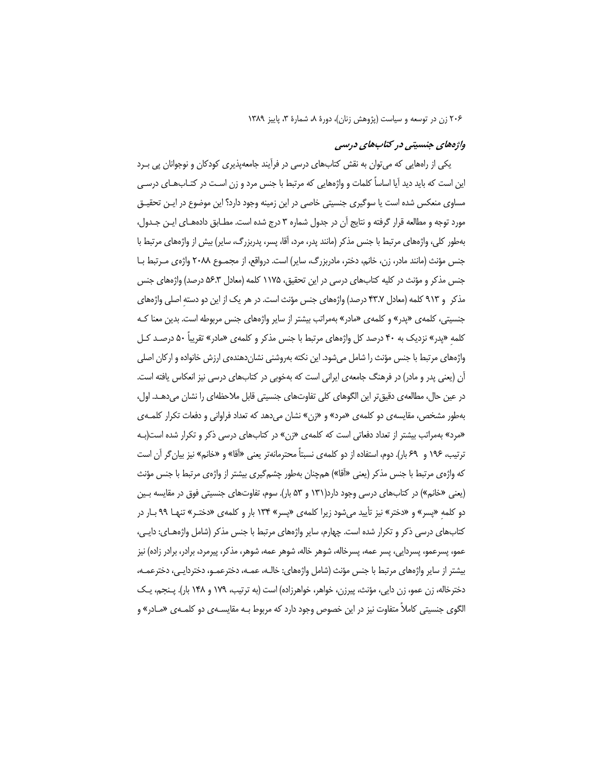#### واژههای جنسیتی در کتابهای درسی

یکی از رامهایی که می توان به نقش کتابهای درسی در فرآیند جامعهپذیری کودکان و نوجوانان پی بـرد این است که باید دید آیا اساساً کلمات و واژههایی که مرتبط با جنس مرد و زن اسـت در کتــابـهــای درسـی مساوی منعکس شده است یا سوگیری جنسیتی خاصی در این زمینه وجود دارد؟ این موضوع در ایـن تحقیـق مورد توجه و مطالعه قرار گرفته و نتايج آن در جدول شماره ۳ درج شده است. مطـابق دادههـاي ايـن جـدول، بەطور كلی، واژەھای مرتبط با جنس مذكر (مانند پدر، مرد، آقا، پسر، پدربزرگ، سایر) بیش از واژەھای مرتبط با جنس مؤنث (مانند مادر، زن، خانم، دختر، مادربزرگ، سایر) است. درواقع، از مجمـوع ٢٠٨٨ واژهى مـرتبط بـا جنس مذکر و مؤنث در کلیه کتابهای درسی در این تحقیق، ۱۱۷۵ کلمه (معادل ۵۶.۳ درصد) واژههای جنس مذکر و ۹۱۳ کلمه (معادل ۴۳.۷ درصد) واژههای جنس مؤنث است. در هر یک از این دو دسته اصلی واژههای جنسیتی، کلمهی «پدر» و کلمهی «مادر» بهمراتب بیشتر از سایر واژههای جنس مربوطه است. بدین معنا کـه کلمه «پدر» نزدیک به ۴۰ درصد کل واژههای مرتبط با جنس مذکر و کلمهی «مادر» تقریباً ۵۰ درصـد کـل واژههای مرتبط با جنس مؤنث را شامل میشود. این نکته بهروشنی نشاندهندهی ارزش خانواده و ارکان اصلی آن (یعنی پدر و مادر) در فرهنگ جامعهی ایرانی است که بهخوبی در کتابهای درسی نیز انعکاس یافته است. در عین حال، مطالعه ی دقیق تر این الگوهای کلی تفاوتهای جنسیتی قابل ملاحظهای را نشان میدهـد. اول، بهطور مشخص، مقایسه ی دو کلمه ی «مرد» و «زن» نشان می دهد که تعداد فراوانی و دفعات تکرار کلمـه ی «مرد» بهمراتب بیشتر از تعداد دفعاتی است که کلمهی «زن» در کتابهای درسی ذکر و تکرار شده است(بـه ترتيب، ١٩۶ و ٤٩ بار). دوم، استفاده از دو كلمه ي نسبتاً محترمانهتر يعني «أقا» و «خانم» نيز بيان گر أن است که واژهی مرتبط با جنس مذکر (یعنی «أقا») همچنان بهطور چشمگیری بیشتر از واژهی مرتبط با جنس مؤنث (یعنی «خانم») در کتابهای درسی وجود دارد(۱۳۱ و ۵۳ بار). سوم، تفاوتهای جنسیتی فوق در مقایسه بـین دو کلمه «پسر» و «دختر» نیز تأیید میشود زیرا کلمهی «پسر» ۱۳۴ بار و کلمهی «دختـر» تنهـا ۹۹ بـار در کتابِهای درسی ذکر و تکرار شده است. چهارم، سایر واژههای مرتبط با جنس مذکر (شامل واژههـای: دایـی، عمو، پسرعمو، پسردایی، پسر عمه، پسرخاله، شوهر خاله، شوهر عمه، شوهر، مذکر، پیرمرد، برادر، برادر زاده) نیز بیشتر از سایر واژههای مرتبط با جنس مؤنث (شامل واژههای: خالـه، عمـه، دخترعمـو، دختردایـی، دخترعمـه، دخترخاله، زن عمو، زن دایی، مؤنث، پیرزن، خواهر، خواهرزاده) است (به ترتیب، ۱۷۹ و ۱۴۸ بار). پـنجم، یـک الگوی جنسیتی کاملاً متفاوت نیز در این خصوص وجود دارد که مربوط بـه مقایسـهی دو کلمـهی «مـادر» و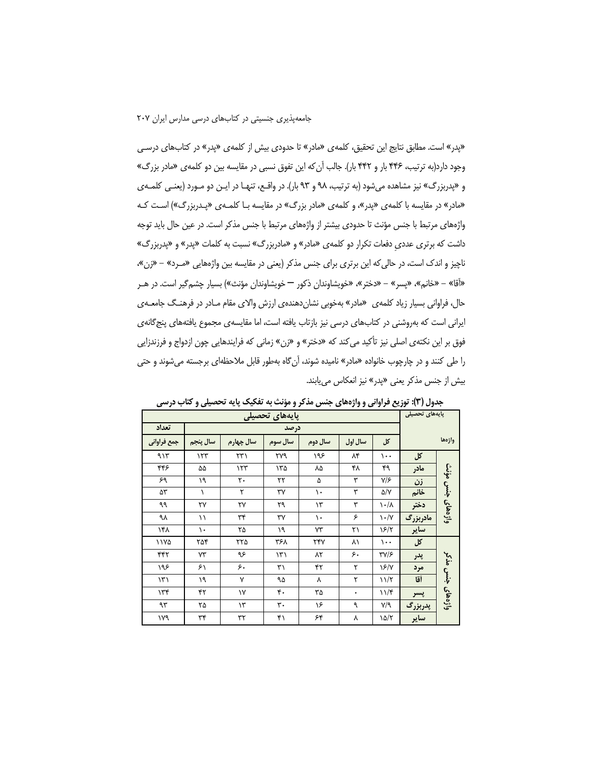«پدر» است. مطابق نتایج این تحقیق، کلمه ی «مادر» تا حدودی بیش از کلمه ی «پدر» در کتابهای درسی وجود دارد(به ترتیب، ۴۴۶ بار و ۴۴۲ بار). جالب آن که این تفوق نسبی در مقایسه بین دو کلمهی «مادر بزرگ» و «پدربزرگ» نیز مشاهده میشود (به ترتیب، ۹۸ و ۹۳ بار). در واقـع، تنهـا در ایـن دو مـورد (یعنـی کلمـهی «مادر» در مقایسه با کلمهی «پدر»، و کلمهی «مادر بزرگ» در مقایسه بـا کلمـهی «پـدربزرگ») اسـت کـه واژههای مرتبط با جنس مؤنث تا حدودی بیشتر از واژههای مرتبط با جنس مذکر است. در عین حال باید توجه داشت که برتری عددی دفعات تکرار دو کلمهی «مادر» و «مادربزرگ» نسبت به کلمات «پدر» و «پدربزرگ» ناچیز و اندک است، در حالی که این برتری برای جنس مذکر (یعنی در مقایسه بین واژههایی «مــرد» – «زن»، «آقا» – «خانم»، «پسر» – «دختر»، «خويشاوندان ذكور — خويشاوندان مؤنث») بسيار چشم5ير است. در هـر حال، فراوانی بسیار زیاد کلمه ی «مادر» بهخوبی نشان دهنده ی ارزش والای مقام مـادر در فرهنـگ جامعـه ی ایرانی است که بهروشنی در کتابهای درسی نیز بازتاب یافته است، اما مقایسهی مجموع یافتههای پنج گانهی فوق بر این نکتهی اصلی نیز تأکید میکند که «دختر» و «زن» زمانی که فرایندهایی چون ازدواج و فرزندزایی را طی کنند و در چارچوب خانواده «مادر» نامیده شوند، آن§اه بهطور قابل ملاحظهای برجسته میشوند و حتی بیش از جنس مذکر یعنی «پدر» نیز انعکاس می یابند.

|               |          |               | پایههای تحصیلی<br>پایههای تحصیلی |         |         |                                   |          |                     |
|---------------|----------|---------------|----------------------------------|---------|---------|-----------------------------------|----------|---------------------|
| تعداد         | درصد     |               |                                  |         |         |                                   |          |                     |
| جمع فراواني   | سال پنجم | سال چهارم     | سال سوم                          | سال دوم | سال اول | کل                                |          | واژدها              |
| 915           | 157      | ۲۳۱           | ٢٧٩                              | ۱۹۶     | ۸۴      | $\cdots$                          | کل       |                     |
| ۴۴۶           | ۵۵       | ۱۲۳           | ۱۳۵                              | ۸۵      | ۴۸      | ۴۹                                | مادر     |                     |
| ۶۹            | ١٩       | ٢٠            | ٢٢                               | ۵       | ٣       | $V/\mathcal{F}$                   | زن       |                     |
| ۵۳            | ١        | ٢             | ٣٧                               | ١.      | ٣       | $\Delta/V$                        | خانم     | جنس مؤنث<br>واژههای |
| ٩٩            | ٢٧       | ٢٧            | ٢٩                               | ۱۳      | ٣       | $\lambda \cdot / \lambda$         | دختر     |                     |
| ٩λ            | ۱۱       | ٣۴            | ٣٧                               | ١.      | ۶       | $\mathcal{N} \cdot / \mathcal{N}$ | مادربزرگ |                     |
| ۱۴۸           | ١.       | ۲۵            | ١٩                               | ٧٣      | ۲۱      | 5/7                               | ساير     |                     |
| ۱۱۷۵          | ۲۵۴      | ۲۲۵           | ۳۶۸                              | ٢۴٧     | ۸١      | $\cdots$                          | کل       |                     |
| ۴۴۲           | ٧٣       | ۹۶            | ۱۳۱                              | ۸۲      | ۶.      | <b>٣٧/۶</b>                       | پدر      | واژههای جنس مذکر    |
| ۱۹۶           | ۶۱       | ۶.            | ٣١                               | ۴۲      | ٢       | $\sqrt{2/\gamma}$                 | مرد      |                     |
| $\mathcal{N}$ | ١٩       | Y             | ۹۵                               | ٨       | ٢       | 11/7                              | أقا      |                     |
| 156           | ۴۲       | ۱۷            | $\mathfrak{r}$ .                 | ٣۵      | ۰       | $11/\mathfrak{r}$                 | پسر      |                     |
| ٩٣            | ۲۵       | $\mathcal{N}$ | ٣٠                               | ۱۶      | ٩       | $Y$ ۹                             | پدربزرگ  |                     |
| ۱۷۹           | ٣۴       | ٣٢            | ۴۱                               | ۶۴      | ٨       | $\frac{\delta}{\delta}$           | ساير     |                     |

جدول (۳): توزیع فراوانی و واژههای جنس مذکر و مؤنث به تفکیک پایه تحصیلی و کتاب درسی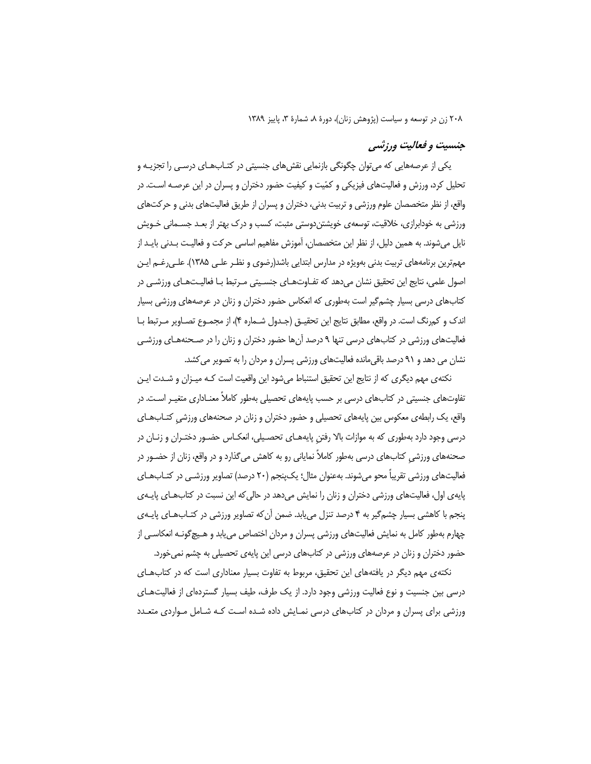## جنسیت و فعالیت ورزشبی

یکی از عرصههایی که می توان چگونگی بازنمایی نقشهای جنسیتی در کتـابـهـای درسـی را تجزیــه و تحلیل کرد، ورزش و فعالیتهای فیزیکی و کمّیت و کیفیت حضور دختران و پسران در این عرصـه اسـت. در واقع، از نظر متخصصان علوم ورزشی و تربیت بدنی، دختران و پسران از طریق فعالیتهای بدنی و حرکتهای ورزشی به خودابرازی، خلاقیت، توسعهی خویشتن دوستی مثبت، کسب و درک بهتر از بعـد جسـمانی خـویش نایل میشوند. به همین دلیل، از نظر این متخصصان، آموزش مفاهیم اساسی حرکت و فعالیـت بـدنی بایـد از مهمترین برنامههای تربیت بدنی بهویژه در مدارس ابتدایی باشد(رضوی و نظـر علـی ۱۳۸۵). علـی(غـم ایـن اصول علمی، نتایج این تحقیق نشان میدهد که تفـاوتهـای جنسـیتی مـرتبط بـا فعالیـتهـای ورزشـی در کتابهای درسی بسیار چشمگیر است بهطوری که انعکاس حضور دختران و زنان در عرصههای ورزشی بسیار اندک و کمرنگ است. در واقع، مطابق نتایج این تحقیـق (جـدول شـماره ۴)، از مجمـوع تصـاویر مـرتبط بـا فعالیتهای ورزشی در کتابهای درسی تنها ۹ درصد آنها حضور دختران و زنان را در صـحنههـای ورزشـی نشان می دهد و ۹۱ درصد باقی مانده فعالیتهای ورزشی پسران و مردان را به تصویر می کشد.

نکتهی مهم دیگری که از نتایج این تحقیق استنباط می شود این واقعیت است کـه میـزان و شـدت ایـن تفاوتهای جنسیتی در کتابهای درسی بر حسب پایههای تحصیلی بهطور کاملاً معنـاداری متغیـر اسـت. در واقع، یک رابطهی معکوس بین پایههای تحصیلی و حضور دختران و زنان در صحنههای ورزشی کتـابـهـای درسی وجود دارد بهطوری که به موازات بالا رفتن پایههـای تحصـیلی، انعکـاس حضـور دختـران و زنـان در صحنههای ورزشی کتابهای درسی بهطور کاملاً نمایانی رو به کاهش می گذارد و در واقع، زنان از حضــور در فعالیتهای ورزشی تقریباً محو میشوند. بهعنوان مثال؛ یکپنجم (۲۰ درصد) تصاویر ورزشـی در کتـابـهـای پایهی اول، فعالیتهای ورزشی دختران و زنان را نمایش میدهد در حالی که این نسبت در کتابهای پایـهی پنجم با کاهشی بسیار چشمگیر به ۴ درصد تنزل می یابد. ضمن آن که تصاویر ورزشی در کتـابهـای پایـهی چهارم بهطور کامل به نمایش فعالیتهای ورزشی پسران و مردان اختصاص می یابد و هـیچگونـه انعکاسـی از حضور دختران و زنان در عرصههای ورزشی در کتابهای درسی این پایهی تحصیلی به چشم نمیخورد.

نکتهی مهم دیگر در یافتههای این تحقیق، مربوط به تفاوت بسیار معناداری است که در کتابهای درسی بین جنسیت و نوع فعالیت ورزشی وجود دارد. از یک طرف، طیف بسیار گستردهای از فعالیتهای ورزشی برای پسران و مردان در کتابهای درسی نمـایش داده شـده اسـت کـه شـامل مـواردی متعـدد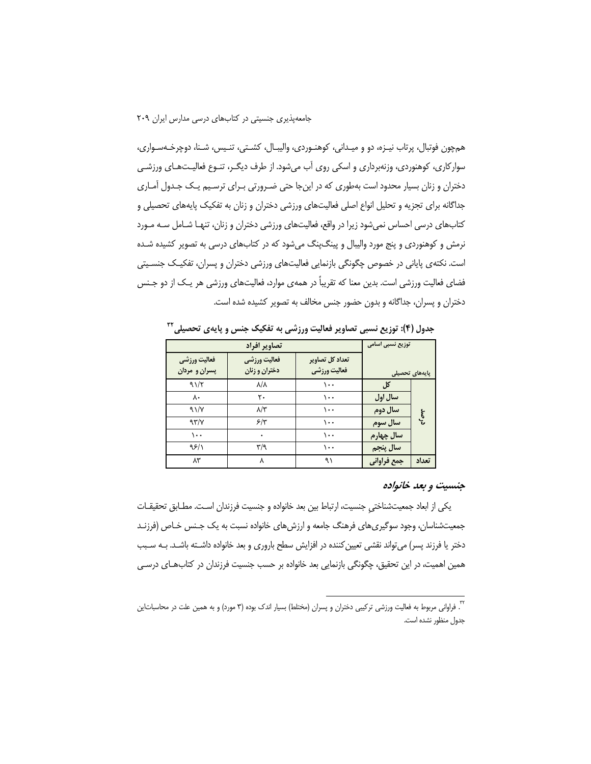همچون فوتبال، پرتاب نیـزه، دو و میـدانی، کوهنـوردی، والیبـال، کشـتی، تنـیس، شـنا، دوچرخـهسـواری، سوارکاری، کوهنوردی، وزنهبرداری و اسکی روی آب میشود. از طرف دیگـر، تنـوع فعالیـتهـای ورزشـی دختران و زنان بسیار محدود است بهطوری که در اینجا حتی ضـرورتی بـرای ترسـیم یـک جـدول آمـاری جداگانه برای تجزیه و تحلیل انواع اصلی فعالیتهای ورزشی دختران و زنان به تفکیک پایههای تحصیلی و کتابهای درسی احساس نمیشود زیرا در واقع، فعالیتهای ورزشی دختران و زنان، تنهـا شـامل سـه مـورد نرمش و کوهنوردی و پنج مورد والیبال و پینگ $\mathcal{Z}$  میشود که در کتابهای درسی به تصویر کشیده شـده است. نکتهی پایانی در خصوص چگونگی بازنمایی فعالیتهای ورزشی دختران و پسران، تفکیـک جنسـیتی فضای فعالیت ورزشی است. بدین معنا که تقریباً در همهی موارد، فعالیتهای ورزشی هر یـک از دو جـنس دختران و پسران، جداگانه و بدون حضور جنس مخالف به تصویر کشیده شده است.

|                | توزیع نسبی اسامی | تصاوير افراد                    |                               |                               |  |  |  |
|----------------|------------------|---------------------------------|-------------------------------|-------------------------------|--|--|--|
| يايەھاي تحصيلى |                  | تعداد کل تصاویر<br>فعاليت ورزشي | فعاليت ورزشي<br>دختران و زنان | فعاليت ورزشي<br>پسران و مردان |  |  |  |
| ترصد           | کل               | ۱۰۰                             | ۸/۸                           | 91/7                          |  |  |  |
|                | سال اول          | ۱۰۰                             | ٢٠                            | ٨٠                            |  |  |  |
|                | سال دوم          | ۱۰۰                             | $\lambda/\tau$                | 91/7                          |  |  |  |
|                | سال سوم          | ۱۰۰                             | ۶۳                            | 97/7                          |  |  |  |
|                | سال چهارم        | ۱۰۰                             | ۰                             | $\cdots$                      |  |  |  |
|                | سال پنجم         | ۱۰۰                             | ۳٬۹                           | 95/1                          |  |  |  |
| تعداد          | جمع فراواني      | ۹۱                              | ٨                             | ۸۳                            |  |  |  |

جدول (۴): توزیع نسبی تصاویر فعالیت ورزشی به تفکیک جنس و پایهی تحصیلی™

#### جنسیت و بعد خانواده

يكي از ابعاد جمعيتشناختي جنسيت، ارتباط بين بعد خانواده و جنسيت فرزندان است. مطـابق تحقيقـات جمعیتشناسان، وجود سوگیریهای فرهنگ جامعه و ارزش های خانواده نسبت به یک جـنس خـاص (فرزنـد دختر یا فرزند پسر) می تواند نقشی تعیین کننده در افزایش سطح باروری و بعد خانواده داشـته باشـد. بـه سـبب همین اهمیت، در این تحقیق، چگونگی بازنمایی بعد خانواده بر حسب جنسیت فرزندان در کتابهای درسی

<sup>&</sup>lt;sup>۳</sup>. فراوانی مربوط به فعالیت ورزشی ترکیبی دختران و پسران (مختلط) بسیار اندک بوده (۳ مورد) و به همین علت در محاسباتاین جدول منظور نشده است.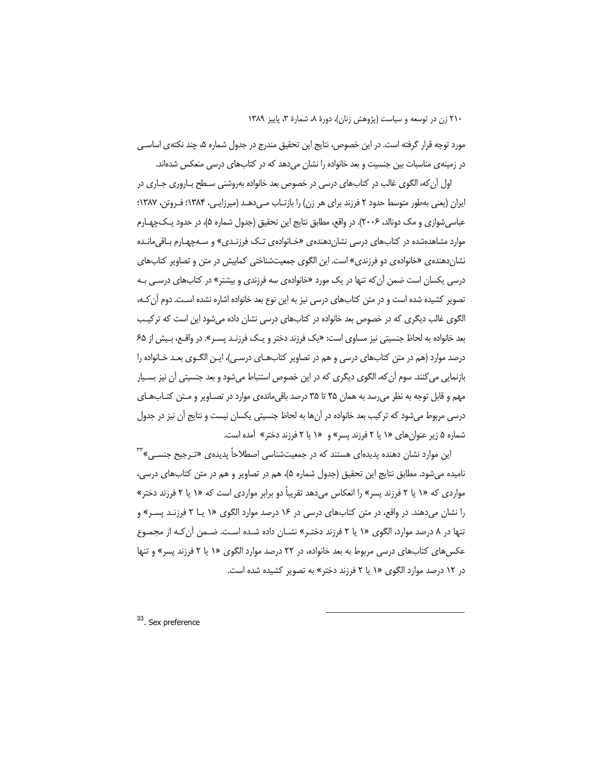مورد توجه قرار گرفته است. در این خصوص، نتایج این تحقیق مندرج در جدول شماره ۵، چند نکتهی اساسے در زمینهی مناسبات بین جنسیت و بعد خانواده را نشان می دهد که در کتابهای درسی منعکس شدهاند.

اول آن که، الگوی غالب در کتابهای درسی در خصوص بعد خانواده بهروشنی سیطح بیاروری جیاری در ایران (یعنی بەطور متوسط حدود ۲ فرزند برای هر زن) را بازتـاب مــ ردهــد (میرزایــی، ۱۳۸۴؛ فـروتن، ۱۳۸۷؛ عباسی شوازی و مک دونالد، ۲۰۰۶). در واقع، مطابق نتایج این تحقیق (جدول شماره ۵)، در حدود یـکـچهـارم موارد مشاهدهشده در کتابهای درسی نشان دهندهی «خـانوادهی تـک فرزنـدی» و سـهچهـارم بـاقی مانـده نشان(هنده ی «خانواده ی دو فرزندی» است. این الگوی جمعیتشناختی کمابیش در متن و تصاویر کتابهای درسی یکسان است ضمن آن که تنها در یک مورد «خانوادهی سه فرزندی و بیشتر» در کتابهای درسی بـه تصویر کشیده شده است و در متن کتابهای درسی نیز به این نوع بعد خانواده اشاره نشده است. دوم آن کـه، الگوی غالب دیگری که در خصوص بعد خانواده در کتابهای درسی نشان داده می شود این است که ترکیب بعد خانواده به لحاظ جنسیتی نیز مساوی است: «یک فرزند دختر و یـک فرزنـد پسـر». در واقـع، بـیش از ۶۵ درصد موارد (هم در متن کتابهای درسی و هم در تصاویر کتابهـای درسـی)، ایـن الگـوی بعـد خـانواده را بازنمايي مي كنند. سوم آن كه، الگوي ديگري كه در اين خصوص استنباط مي شود و بعد جنسيتي آن نيز بسـيار مهم و قابل توجه به نظر می رسد به همان ۲۵ تا ۳۵ درصد باقی ماندهی موارد در تصـاویر و مـتن کتـابـهـای درسی مربوط می شود که ترکیب بعد خانواده در آن ها به لحاظ جنسیتی یکسان نیست و نتایج آن نیز در جدول شماره ۵ زیر عنوانهای «۱ یا ۲ فرزند پسر» و «۱ یا ۲ فرزند دختر» آمده است.

این موارد نشان دهنده پدیدهای هستند که در جمعیتشناسی اصطلاحاً پدیده $\mathbb{C}$  «تـرجیح جنســ ، $\mathbb{P}^\pi$ نامیده می شود. مطابق نتایج این تحقیق (جدول شماره ۵)، هم در تصاویر و هم در متن کتابهای درسی، مواردی که «۱ یا ۲ فرزند پسر» را انعکاس میدهد تقریباً دو برابر مواردی است که «۱ یا ۲ فرزند دختر» را نشان میدهند. در واقع، در متن کتابهای درسی در ۱۶ درصد موارد الگوی «۱ یــا ۲ فرزنـد پســر» و تنها در ۸ درصد موارد، الگوی «۱ یا ۲ فرزند دختـر» نشـان داده شـده اسـت. ضـمن آن *ک*ـه از مجمـوع عکسهای کتابهای درسی مربوط به بعد خانواده، در ۲۲ درصد موارد الگوی «۱ یا ۲ فرزند پسر» و تنها در ۱۲ درصد موارد الگوی «۱ یا ۲ فرزند دختر» به تصویر کشیده شده است.

<sup>33</sup>. Sex preference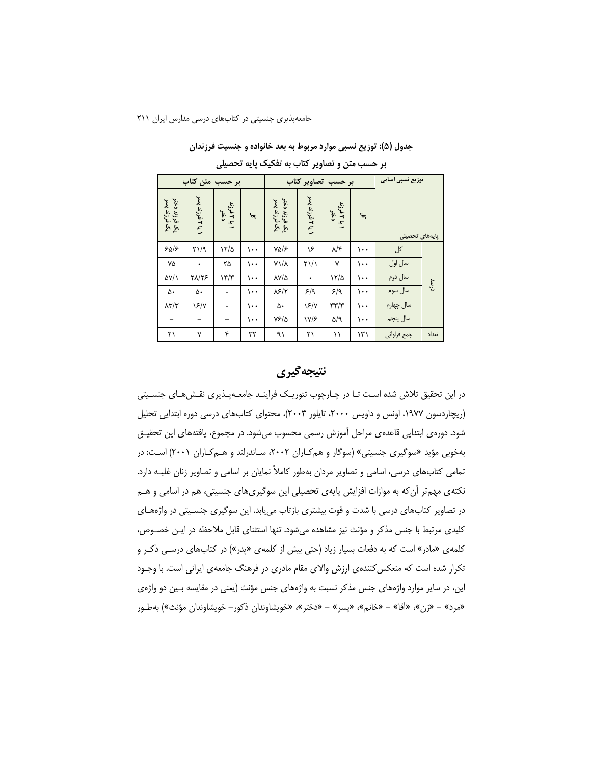جدول (۵): توزیع نسبی موارد مربوط به بعد خانواده و جنسیت فرزندان

|         | توزیع نسبی اسامی<br>بر حسب تصاویر کتاب |          |                        |                  | بر حسب متن کتاب               |          |                     |                  |                                   |
|---------|----------------------------------------|----------|------------------------|------------------|-------------------------------|----------|---------------------|------------------|-----------------------------------|
|         | يايەھاي تحصيلى                         |          | ۱ یا ۱فرزند<br>دختر    | 1 يا ۲ فرزند پسر | یک فرزند دختر<br>بگ فرزند پسر | $\mu$    | ۱ یا ۱فرزند<br>دختر | 1 يا ۲ فرزند پسر | یک فرزند دختر<br>یک فرزند پسر     |
|         | کل                                     | $\cdots$ | $\lambda/\mathfrak{r}$ | ۱۶               | $Y\Delta/\mathcal{F}$         | $\cdots$ | 17/2                | P(Y Y)           | 505                               |
|         | سال اول                                | $\cdots$ | ٧                      | $\frac{1}{2}$    | $Y\lambda/\lambda$            | ۱۰۰      | ۲۵                  | ٠                | ٧۵                                |
|         | سال دوم                                | $\cdots$ | 17/2                   | ۰                | $\Delta V/\Delta$             | ۱۰۰      | 15/7                | <b>TA/TS</b>     | $\Delta V/\lambda$                |
| مې<br>م | سال سوم                                | $\cdots$ | 5/9                    | 5/9              | $\lambda$ ۶/۲                 | ۱۰۰      | ٠                   | ۵۰               | ۵۰                                |
|         | سال چهارم                              | $\cdots$ | $\tau\tau/\tau$        | $\frac{5}{2}$    | ۵۰                            | ۱۰۰      | ٠                   | $\S$ /Y          | $\lambda \mathbf{y} / \mathbf{y}$ |
|         | سال پنجم                               | $\cdots$ | $\Delta$ /9            | V/F              | 7810                          | $\cdots$ | -                   |                  |                                   |
| تعداد   | جمع فراواني                            | ۱۳۱      | ۱۱                     | ۲۱               | ۹١                            | ٣٢       | ۴                   | ٧                | ۲۱                                |

بر حسب متن و تصاویر کتاب به تفکیک پایه تحصیلی

### نتيجه گيري

در این تحقیق تلاش شده است تـا در چـارچوب تئوریـک فراینـد جامعـهپـذیری نقـش@ای جنسـیتی (ریچاردسون ۱۹۷۷، اونس و داویس ۲۰۰۰، تایلور ۲۰۰۳)، محتوای کتابهای درسی دوره ابتدایی تحلیل شود. دورەی ابتدایی قاعدەی مراحل آموزش رسمی محسوب میشود. در مجموع، یافتههای این تحقیـق بهخوبی مؤید «سوگیری جنسیتی» (سوگار و هم *ک*اران ۲۰۰۲، سـاندرلند و هـم *ک*ـاران ۲۰۰۱) اسـت: در تمامی کتابهای درسی، اسامی و تصاویر مردان بهطور کاملاً نمایان بر اسامی و تصاویر زنان غلبـه دارد. نکتهی مهمتر آن که به موازات افزایش پایهی تحصیلی این سوگیریهای جنسیتی، هم در اسامی و هــم در تصاویر کتابهای درسی با شدت و قوت بیشتری بازتاب می یابد. این سوگیری جنسـیتی در واژههـای کلیدی مرتبط با جنس مذکر و مؤنث نیز مشاهده میشود. تنها استثنای قابل ملاحظه در ایـن خصـوص، کلمه ی «مادر» است که به دفعات بسیار زیاد (حتی بیش از کلمه ی «پدر») در کتابهای درسـی ذکـر و تکرار شده است که منعکس کنندهی ارزش والای مقام مادری در فرهنگ جامعهی ایرانی است. با وجـود این، در سایر موارد واژههای جنس مذکر نسبت به واژههای جنس مؤنث (یعنی در مقایسه بـین دو واژهی «مرد» – «زن»، «أقا» – «خانم»، «پسر» – «دختر»، «خويشاوندان ذكور– خويشاوندان مؤنث») بهطـور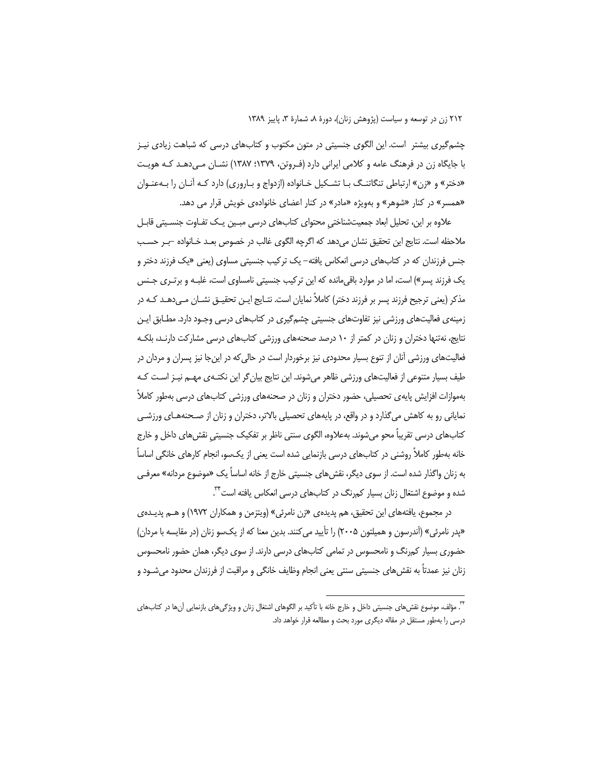چشم گیری بیشتر ِ است. این الگوی جنسیتی در متون مکتوب و کتابهای درسی که شباهت زیادی نیـز با جایگاه زن در فرهنگ عامه و کلامی ایرانی دارد (فـروتن، ۱۳۷۹؛ ۱۳۸۷) نشـان مـی‹هـد کـه هویـت «دختر» و «زن» ارتباطی تنگاتنـگ بـا تشـکیل خـانواده (ازدواج و بـاروری) دارد کـه آنـان را بـهعنـوان «همسر» در کنار «شوهر» و بهویژه «مادر» در کنار اعضای خانوادهی خویش قرار می دهد.

علاوہ بر این، تحلیل ابعاد جمعیتشناختی محتوای کتابھای درسی مبـین یـک تفـاوت جنسـیتی قابـل ملاحظه است. نتايج اين تحقيق نشان مى دهد كه اگرچه الگوى غالب در خصوص بعـد خـانواده –بـر حسـب جنس فرزندان که در کتابهای درسی انعکاس یافته– یک ترکیب جنسیتی مساوی (یعنی «یک فرزند دختر و یک فرزند پسر») است، اما در موارد باقی مانده که این ترکیب جنسیتی نامساوی است، غلبـه و برتـری جـنس مذکر (یعنی ترجیح فرزند پسر بر فرزند دختر) کاملاً نمایان است. نتـایج ایـن تحقیـق نشـان مـی(دهـد کـه در زمینهی فعالیتهای ورزشی نیز تفاوتهای جنسیتی چشم گیری در کتابهای درسی وجـود دارد. مطـابق ایـن نتایج، نهتنها دختران و زنان در کمتر از ۱۰ درصد صحنههای ورزشی کتابهای درسی مشارکت دارنـد، بلکـه فعالیتهای ورزشی آنان از تنوع بسیار محدودی نیز برخوردار است در حالی که در اینجا نیز پسران و مردان در طیف بسیار متنوعی از فعالیتهای ورزشی ظاهر میشوند. این نتایج بیان گر این نکتـهی مهـم نیـز اسـت کـه بهموازات افزایش پایهی تحصیلی، حضور دختران و زنان در صحنههای ورزشی کتابهای درسی بهطور کاملاً نمایانی رو به کاهش می گذارد و در واقع، در پایههای تحصیلی بالاتر، دختران و زنان از صـحنههـای ورزشـی کتابهای درسی تقریباً محو میشوند. بهعلاوه، الگوی سنتی ناظر بر تفکیک جنسیتی نقش های داخل و خارج خانه بەطور کاملاً روشنی در کتابھای درسی بازنمایی شده است یعنی از یکسو، انجام کارهای خانگی اساساً به زنان واگذار شده است. از سوی دیگر، نقش های جنسیتی خارج از خانه اساساً یک «موضوع مردانه» معرفـی شده و موضوع اشتغال زنان بسیار کم,رنگ در کتابهای درسی انعکاس یافته است<sup>۲۲</sup>.

در مجموع، يافتههاي اين تحقيق، هم پديدهي «زن نامرئي» (ويتزمن و همكاران ١٩٧٢) و هـم پديــدهي «پدر نامرئی» (آندرسون و همیلتون ۲۰۰۵) را تأیید می کنند. بدین معنا که از یک سو زنان (در مقایسه با مردان) حضوری بسیار کم,نگ و نامحسوس در تمامی کتابهای درسی دارند. از سوی دیگر، همان حضور نامحسوس زنان نیز عمدتاً به نقش۵ای جنسیتی سنتی یعنی انجام وظایف خانگی و مراقبت از فرزندان محدود میشـود و

<sup>.&</sup>lt;br>". مؤلف، موضوع نقشهای جنسیتی داخل و خارج خانه با تأکید بر الگوهای اشتغال زنان و ویژگیهای بازنمایی آنها در کتابهای درسی را بهطور مستقل در مقاله دیگری مورد بحث و مطالعه قرار خواهد داد.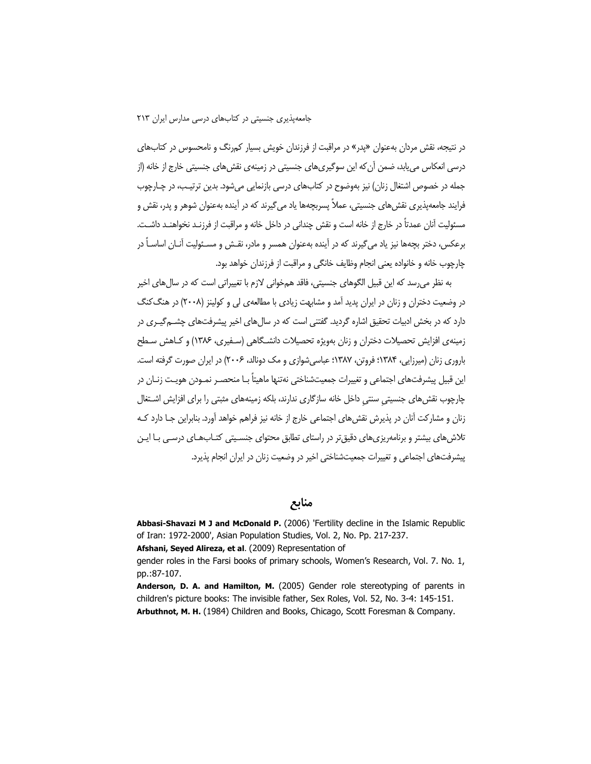جامعهیذیری جنسیتی در کتابهای درسی مدارس ایران ۲۱۳

در نتیجه، نقش مردان بهعنوان «پدر» در مراقبت از فرزندان خویش بسیار کمرنگ و نامحسوس در کتابهای درسی انعکاس می بابد، ضمن آن که این سوگیریهای جنسیتی در زمینهی نقش های جنسیتی خارج از خانه (از جمله در خصوص اشتغال زنان) نیز بهوضوح در کتابهای درسی بازنمایی میشود. بدین ترتیب، در چـارچوب فرایند جامعهپذیری نقش های جنسیتی، عملاً پسربچهها یاد می گیرند که در آینده بهعنوان شوهر و پدر، نقش و مسئولیت آنان عمدتاً در خارج از خانه است و نقش چندانی در داخل خانه و مراقبت از فرزنـد نخواهنـد داشـت. برعکس، دختر بچهها نیز یاد می گیرند که در آینده بهعنوان همسر و مادر، نقـش و مسـئولیت آنــان اساســاً در چارچوب خانه و خانواده یعنی انجام وظایف خانگی و مراقبت از فرزندان خواهد بود.

به نظر می رسد که این قبیل الگوهای جنسیتی، فاقد همخوانی لازم با تغییراتی است که در سال های اخیر در وضعیت دختران و زنان در ایران پدید آمد و مشابهت زیادی با مطالعهی لی و کولینز (۲۰۰۸) در هنگ کنگ دارد که در بخش ادبیات تحقیق اشاره گردید. گفتنی است که در سال های اخیر پیشرفتهای چشــه گیــری در زمینهی افزایش تحصیلات دختران و زنان بهویژه تحصیلات دانشـگاهی (سـفیری، ۱۳۸۶) و کـاهش سـطح باروری زنان (میرزایی، ۱۳۸۴؛ فروتن، ۱۳۸۷؛ عباسیشوازی و مک دونالد، ۲۰۰۶) در ایران صورت گرفته است. این قبیل پیشرفتهای اجتماعی و تغییرات جمعیتشناختی نهتنها ماهیتاً بـا منحصـر نمـودن هویـت زنـان در چارچوب نقش های جنسیتی سنتی داخل خانه سازگاری ندارند، بلکه زمینههای مثبتی را برای افزایش اشـتغال زنان و مشارکت آنان در پذیرش نقش های اجتماعی خارج از خانه نیز فراهم خواهد آورد. بنابراین جـا دارد کـه تلاش های بیشتر و برنامهریزی های دقیق تر در راستای تطابق محتوای جنسـیتی کتـاب هـای درسـی بـا ایـن پیشرفتهای اجتماعی و تغییرات جمعیتشناختی اخیر در وضعیت زنان در ایران انجام پذیرد.

منابع

Abbasi-Shavazi M J and McDonald P. (2006) 'Fertility decline in the Islamic Republic of Iran: 1972-2000', Asian Population Studies, Vol. 2, No. Pp. 217-237.

Afshani, Seyed Alireza, et al. (2009) Representation of

gender roles in the Farsi books of primary schools, Women's Research, Vol. 7. No. 1, pp.:87-107.

Anderson, D. A. and Hamilton, M. (2005) Gender role stereotyping of parents in children's picture books: The invisible father, Sex Roles, Vol. 52, No. 3-4: 145-151. Arbuthnot, M. H. (1984) Children and Books, Chicago, Scott Foresman & Company.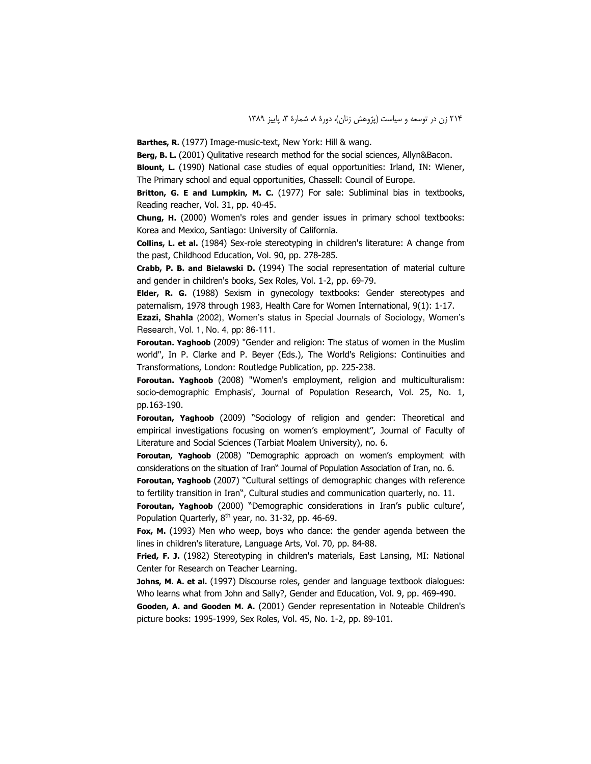Barthes, R. (1977) Image-music-text, New York: Hill & wang.

Berg, B. L. (2001) Qulitative research method for the social sciences, Allyn&Bacon.

**Blount, L.** (1990) National case studies of equal opportunities: Irland, IN: Wiener, The Primary school and equal opportunities, Chassell: Council of Europe.

Britton, G. E and Lumpkin, M. C. (1977) For sale: Subliminal bias in textbooks, Reading reacher, Vol. 31, pp. 40-45.

Chung, H. (2000) Women's roles and gender issues in primary school textbooks: Korea and Mexico, Santiago: University of California.

Collins, L. et al. (1984) Sex-role stereotyping in children's literature: A change from the past, Childhood Education, Vol. 90, pp. 278-285.

Crabb, P. B. and Bielawski D. (1994) The social representation of material culture and gender in children's books, Sex Roles, Vol. 1-2, pp. 69-79.

Elder, R. G. (1988) Sexism in gynecology textbooks: Gender stereotypes and paternalism, 1978 through 1983, Health Care for Women International, 9(1): 1-17.

Ezazi, Shahla (2002), Women's status in Special Journals of Sociology, Women's Research, Vol. 1, No. 4, pp: 86-111.

Foroutan. Yaghoob (2009) "Gender and religion: The status of women in the Muslim world", In P. Clarke and P. Beyer (Eds.), The World's Religions: Continuities and Transformations, London: Routledge Publication, pp. 225-238.

Foroutan. Yaghoob (2008) "Women's employment, religion and multiculturalism: socio-demographic Emphasis', Journal of Population Research, Vol. 25, No. 1, pp.163-190.

Foroutan, Yaghoob (2009) "Sociology of religion and gender: Theoretical and empirical investigations focusing on women's employment", Journal of Faculty of Literature and Social Sciences (Tarbiat Moalem University), no. 6.

Foroutan, Yaghoob (2008) "Demographic approach on women's employment with considerations on the situation of Iran" Journal of Population Association of Iran, no. 6.

Foroutan, Yaghoob (2007) "Cultural settings of demographic changes with reference to fertility transition in Iran", Cultural studies and communication quarterly, no. 11.

Foroutan, Yaghoob (2000) "Demographic considerations in Iran's public culture', Population Quarterly, 8<sup>th</sup> year, no. 31-32, pp. 46-69.

Fox, M. (1993) Men who weep, boys who dance: the gender agenda between the lines in children's literature, Language Arts, Vol. 70, pp. 84-88.

Fried, F. J. (1982) Stereotyping in children's materials, East Lansing, MI: National Center for Research on Teacher Learning.

Johns, M. A. et al. (1997) Discourse roles, gender and language textbook dialogues: Who learns what from John and Sally?, Gender and Education, Vol. 9, pp. 469-490.

Gooden, A. and Gooden M. A. (2001) Gender representation in Noteable Children's picture books: 1995-1999, Sex Roles, Vol. 45, No. 1-2, pp. 89-101.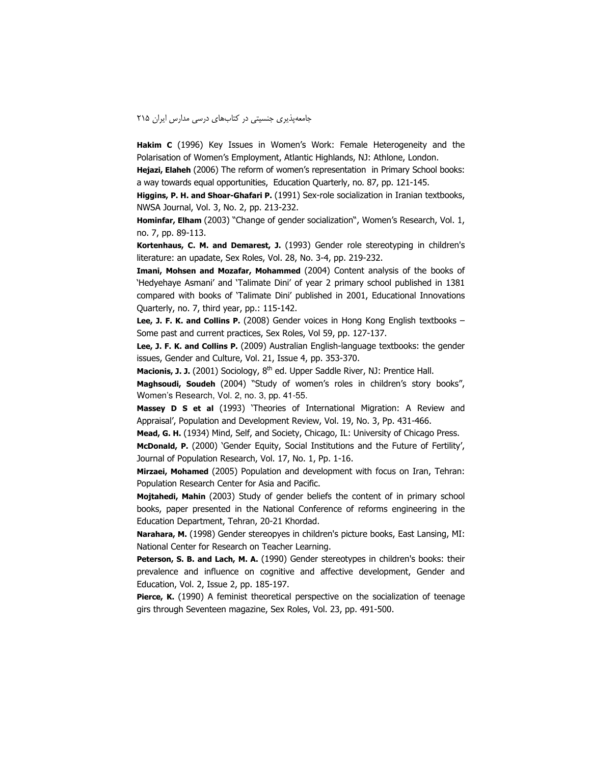#### جامعه پذیری جنسیتی در کتابهای درسی مدارس ایران ۲۱۵

Hakim C (1996) Key Issues in Women's Work: Female Heterogeneity and the Polarisation of Women's Employment, Atlantic Highlands, NJ: Athlone, London.

Hejazi, Elaheh (2006) The reform of women's representation in Primary School books: a way towards equal opportunities, Education Quarterly, no. 87, pp. 121-145.

Higgins, P. H. and Shoar-Ghafari P. (1991) Sex-role socialization in Iranian textbooks, NWSA Journal, Vol. 3, No. 2, pp. 213-232.

Hominfar, Elham (2003) "Change of gender socialization", Women's Research, Vol. 1, no. 7, pp. 89-113.

Kortenhaus, C. M. and Demarest, J. (1993) Gender role stereotyping in children's literature: an upadate, Sex Roles, Vol. 28, No. 3-4, pp. 219-232.

Imani, Mohsen and Mozafar, Mohammed (2004) Content analysis of the books of 'Hedyehaye Asmani' and 'Talimate Dini' of year 2 primary school published in 1381 compared with books of 'Talimate Dini' published in 2001, Educational Innovations Quarterly, no. 7, third year, pp.: 115-142.

Lee, J. F. K. and Collins P. (2008) Gender voices in Hong Kong English textbooks -Some past and current practices, Sex Roles, Vol 59, pp. 127-137.

Lee, J. F. K. and Collins P. (2009) Australian English-language textbooks: the gender issues, Gender and Culture, Vol. 21, Issue 4, pp. 353-370.

Macionis, J. J. (2001) Sociology, 8<sup>th</sup> ed. Upper Saddle River, NJ: Prentice Hall.

Maghsoudi, Soudeh (2004) "Study of women's roles in children's story books", Women's Research, Vol. 2, no. 3, pp. 41-55.

Massey D S et al (1993) 'Theories of International Migration: A Review and Appraisal', Population and Development Review, Vol. 19, No. 3, Pp. 431-466.

Mead, G. H. (1934) Mind, Self, and Society, Chicago, IL: University of Chicago Press.

McDonald, P. (2000) 'Gender Equity, Social Institutions and the Future of Fertility', Journal of Population Research, Vol. 17, No. 1, Pp. 1-16.

Mirzaei, Mohamed (2005) Population and development with focus on Iran, Tehran: Population Research Center for Asia and Pacific.

Mojtahedi, Mahin (2003) Study of gender beliefs the content of in primary school books, paper presented in the National Conference of reforms engineering in the Education Department, Tehran, 20-21 Khordad.

Narahara, M. (1998) Gender stereopyes in children's picture books, East Lansing, MI: National Center for Research on Teacher Learning.

Peterson, S. B. and Lach, M. A. (1990) Gender stereotypes in children's books: their prevalence and influence on cognitive and affective development, Gender and Education, Vol. 2, Issue 2, pp. 185-197.

Pierce, K. (1990) A feminist theoretical perspective on the socialization of teenage girs through Seventeen magazine, Sex Roles, Vol. 23, pp. 491-500.